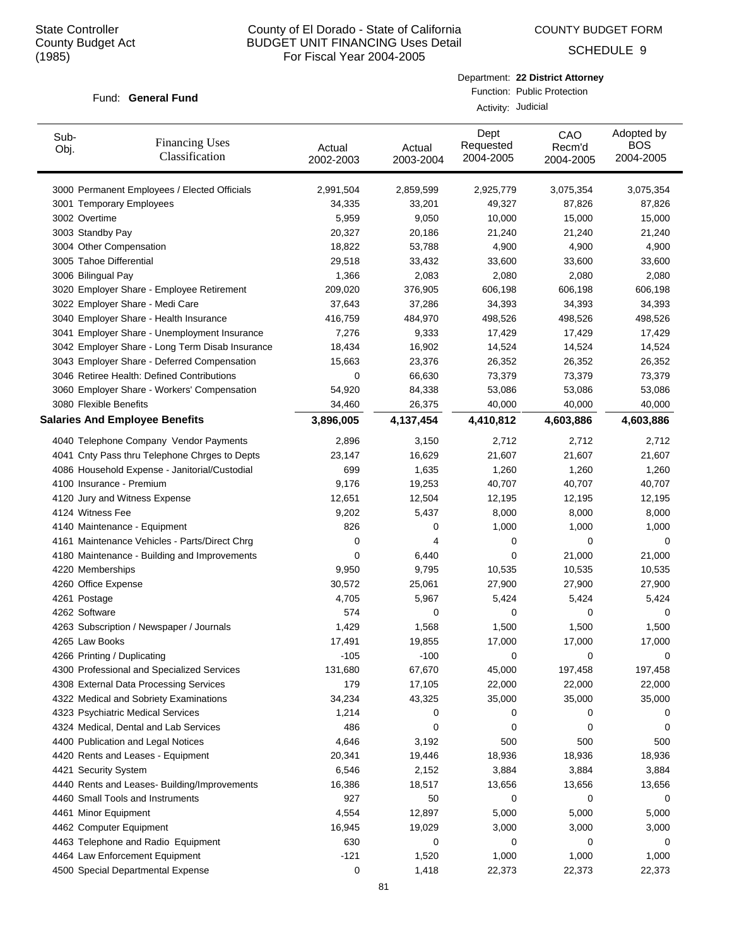COUNTY BUDGET FORM

SCHEDULE 9

|                    | Department: 22 District Attorney |
|--------------------|----------------------------------|
|                    | Function: Public Protection      |
| Activity: Judicial |                                  |

| Sub-<br>Obj. | <b>Financing Uses</b><br>Classification         | Actual<br>2002-2003 | Actual<br>2003-2004 | Dept<br>Requested<br>2004-2005 | CAO<br>Recm'd<br>2004-2005 | Adopted by<br><b>BOS</b><br>2004-2005 |
|--------------|-------------------------------------------------|---------------------|---------------------|--------------------------------|----------------------------|---------------------------------------|
|              | 3000 Permanent Employees / Elected Officials    | 2,991,504           | 2,859,599           | 2,925,779                      | 3,075,354                  | 3,075,354                             |
|              | 3001 Temporary Employees                        | 34,335              | 33,201              | 49,327                         | 87,826                     | 87,826                                |
|              | 3002 Overtime                                   | 5,959               | 9,050               | 10,000                         | 15,000                     | 15,000                                |
|              | 3003 Standby Pay                                | 20,327              | 20,186              | 21,240                         | 21,240                     | 21,240                                |
|              | 3004 Other Compensation                         | 18,822              | 53,788              | 4,900                          | 4,900                      | 4,900                                 |
|              | 3005 Tahoe Differential                         | 29,518              | 33,432              | 33,600                         | 33,600                     | 33,600                                |
|              | 3006 Bilingual Pay                              | 1,366               | 2,083               | 2,080                          | 2,080                      | 2,080                                 |
|              | 3020 Employer Share - Employee Retirement       | 209,020             | 376,905             | 606,198                        | 606,198                    | 606,198                               |
|              | 3022 Employer Share - Medi Care                 | 37,643              | 37,286              | 34,393                         | 34,393                     | 34,393                                |
|              | 3040 Employer Share - Health Insurance          | 416,759             | 484,970             | 498,526                        | 498,526                    | 498,526                               |
|              | 3041 Employer Share - Unemployment Insurance    | 7,276               | 9,333               | 17,429                         | 17,429                     | 17,429                                |
|              | 3042 Employer Share - Long Term Disab Insurance | 18,434              | 16,902              | 14,524                         | 14,524                     | 14,524                                |
|              | 3043 Employer Share - Deferred Compensation     | 15,663              | 23,376              | 26,352                         | 26,352                     | 26,352                                |
|              | 3046 Retiree Health: Defined Contributions      | 0                   | 66,630              | 73,379                         | 73,379                     | 73,379                                |
|              | 3060 Employer Share - Workers' Compensation     | 54,920              | 84,338              | 53,086                         | 53,086                     | 53,086                                |
|              | 3080 Flexible Benefits                          | 34,460              | 26,375              | 40,000                         | 40,000                     | 40,000                                |
|              | <b>Salaries And Employee Benefits</b>           | 3,896,005           | 4,137,454           | 4,410,812                      | 4,603,886                  | 4,603,886                             |
|              | 4040 Telephone Company Vendor Payments          | 2,896               | 3,150               | 2,712                          | 2,712                      | 2,712                                 |
|              | 4041 Cnty Pass thru Telephone Chrges to Depts   | 23,147              | 16,629              | 21,607                         | 21,607                     | 21,607                                |
|              | 4086 Household Expense - Janitorial/Custodial   | 699                 | 1,635               | 1,260                          | 1,260                      | 1,260                                 |
|              | 4100 Insurance - Premium                        | 9,176               | 19,253              | 40,707                         | 40,707                     | 40,707                                |
|              | 4120 Jury and Witness Expense                   | 12,651              | 12,504              | 12,195                         | 12,195                     | 12,195                                |
|              | 4124 Witness Fee                                | 9,202               | 5,437               | 8,000                          | 8,000                      | 8,000                                 |
|              | 4140 Maintenance - Equipment                    | 826                 | 0                   | 1,000                          | 1,000                      | 1,000                                 |
|              | 4161 Maintenance Vehicles - Parts/Direct Chrg   | 0                   | 4                   | 0                              | 0                          | 0                                     |
|              | 4180 Maintenance - Building and Improvements    | 0                   | 6,440               | 0                              | 21,000                     | 21,000                                |
|              | 4220 Memberships                                | 9,950               | 9,795               | 10,535                         | 10,535                     | 10,535                                |
|              | 4260 Office Expense                             | 30,572              | 25,061              | 27,900                         | 27,900                     | 27,900                                |
|              | 4261 Postage                                    | 4,705               | 5,967               | 5,424                          | 5,424                      | 5,424                                 |
|              | 4262 Software                                   | 574                 | 0                   | 0                              | 0                          | 0                                     |
|              | 4263 Subscription / Newspaper / Journals        | 1,429               | 1,568               | 1,500                          | 1,500                      | 1,500                                 |
|              | 4265 Law Books                                  | 17,491              | 19,855              | 17,000                         | 17,000                     | 17,000                                |
|              | 4266 Printing / Duplicating                     | -105                | $-100$              | O                              | 0                          | 0                                     |
|              | 4300 Professional and Specialized Services      | 131,680             | 67,670              | 45,000                         | 197,458                    | 197,458                               |
|              | 4308 External Data Processing Services          | 179                 | 17,105              | 22,000                         | 22,000                     | 22,000                                |
|              | 4322 Medical and Sobriety Examinations          | 34,234              | 43,325              | 35,000                         | 35,000                     | 35,000                                |
|              | 4323 Psychiatric Medical Services               | 1,214               | 0                   | 0                              | 0                          | 0                                     |
|              | 4324 Medical, Dental and Lab Services           | 486                 | 0                   | 0                              | 0                          | 0                                     |
|              | 4400 Publication and Legal Notices              | 4,646               | 3,192               | 500                            | 500                        | 500                                   |
|              | 4420 Rents and Leases - Equipment               | 20,341              | 19,446              | 18,936                         | 18,936                     | 18,936                                |
|              | 4421 Security System                            | 6,546               | 2,152               | 3,884                          | 3,884                      | 3,884                                 |
|              | 4440 Rents and Leases- Building/Improvements    | 16,386              | 18,517              | 13,656                         | 13,656                     | 13,656                                |
|              | 4460 Small Tools and Instruments                | 927                 | 50                  | 0                              | 0                          | 0                                     |
|              | 4461 Minor Equipment                            | 4,554               | 12,897              | 5,000                          | 5,000                      | 5,000                                 |
|              | 4462 Computer Equipment                         | 16,945              | 19,029              | 3,000                          | 3,000                      | 3,000                                 |
|              | 4463 Telephone and Radio Equipment              | 630                 | 0                   | 0                              | 0                          | 0                                     |
|              | 4464 Law Enforcement Equipment                  | $-121$              | 1,520               | 1,000                          | 1,000                      | 1,000                                 |
|              | 4500 Special Departmental Expense               | 0                   | 1,418               | 22,373                         | 22,373                     | 22,373                                |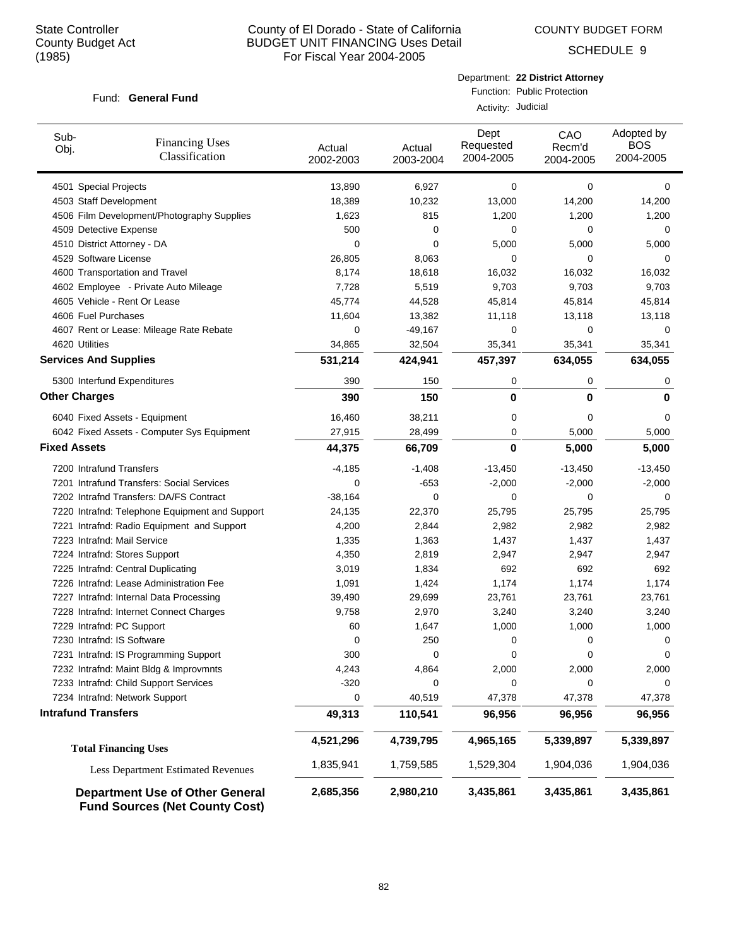COUNTY BUDGET FORM

SCHEDULE 9

### Fund: General Fund

Department: **22 District Attorney** Function: Public Protection

Activity: Judicial

| Sub-<br><b>Financing Uses</b><br>Obj.<br>Classification                         | Actual<br>2002-2003 | Actual<br>2003-2004 | Dept<br>Requested<br>2004-2005 | CAO<br>Recm'd<br>2004-2005 | Adopted by<br><b>BOS</b><br>2004-2005 |
|---------------------------------------------------------------------------------|---------------------|---------------------|--------------------------------|----------------------------|---------------------------------------|
| 4501 Special Projects                                                           | 13,890              | 6,927               | 0                              | $\mathbf 0$                | 0                                     |
| 4503 Staff Development                                                          | 18,389              | 10,232              | 13,000                         | 14,200                     | 14,200                                |
| 4506 Film Development/Photography Supplies                                      | 1,623               | 815                 | 1,200                          | 1,200                      | 1,200                                 |
| 4509 Detective Expense                                                          | 500                 | 0                   | 0                              | 0                          | 0                                     |
| 4510 District Attorney - DA                                                     | 0                   | 0                   | 5,000                          | 5,000                      | 5,000                                 |
| 4529 Software License                                                           | 26,805              | 8,063               | 0                              | 0                          | 0                                     |
| 4600 Transportation and Travel                                                  | 8,174               | 18,618              | 16,032                         | 16,032                     | 16,032                                |
| 4602 Employee - Private Auto Mileage                                            | 7,728               | 5,519               | 9,703                          | 9,703                      | 9,703                                 |
| 4605 Vehicle - Rent Or Lease                                                    | 45,774              | 44,528              | 45,814                         | 45,814                     | 45,814                                |
| 4606 Fuel Purchases                                                             | 11,604              | 13,382              | 11,118                         | 13,118                     | 13,118                                |
| 4607 Rent or Lease: Mileage Rate Rebate                                         | 0                   | $-49,167$           | 0                              | $\mathbf 0$                | 0                                     |
| 4620 Utilities                                                                  | 34,865              | 32,504              | 35,341                         | 35,341                     | 35,341                                |
| <b>Services And Supplies</b>                                                    | 531,214             | 424,941             | 457,397                        | 634,055                    | 634,055                               |
| 5300 Interfund Expenditures                                                     | 390                 | 150                 | 0                              | 0                          | 0                                     |
| <b>Other Charges</b>                                                            | 390                 | 150                 | 0                              | 0                          | 0                                     |
| 6040 Fixed Assets - Equipment                                                   | 16,460              | 38,211              | 0                              | $\Omega$                   | 0                                     |
| 6042 Fixed Assets - Computer Sys Equipment                                      | 27,915              | 28,499              | 0                              | 5,000                      | 5,000                                 |
| <b>Fixed Assets</b>                                                             | 44,375              | 66,709              | 0                              | 5,000                      | 5,000                                 |
| 7200 Intrafund Transfers                                                        | $-4,185$            | $-1,408$            | $-13,450$                      | $-13,450$                  | -13,450                               |
| 7201 Intrafund Transfers: Social Services                                       | 0                   | $-653$              | $-2,000$                       | $-2,000$                   | $-2,000$                              |
| 7202 Intrafnd Transfers: DA/FS Contract                                         | $-38,164$           | 0                   | 0                              | 0                          | 0                                     |
| 7220 Intrafnd: Telephone Equipment and Support                                  | 24,135              | 22,370              | 25,795                         | 25,795                     | 25,795                                |
| 7221 Intrafnd: Radio Equipment and Support                                      | 4,200               | 2,844               | 2,982                          | 2,982                      | 2,982                                 |
| 7223 Intrafnd: Mail Service                                                     | 1,335               | 1,363               | 1,437                          | 1,437                      | 1,437                                 |
| 7224 Intrafnd: Stores Support                                                   | 4,350               | 2,819               | 2,947                          | 2,947                      | 2,947                                 |
| 7225 Intrafnd: Central Duplicating                                              | 3,019               | 1,834               | 692                            | 692                        | 692                                   |
| 7226 Intrafnd: Lease Administration Fee                                         | 1,091               | 1,424               | 1,174                          | 1,174                      | 1,174                                 |
| 7227 Intrafnd: Internal Data Processing                                         | 39,490              | 29,699              | 23,761                         | 23,761                     | 23,761                                |
| 7228 Intrafnd: Internet Connect Charges                                         | 9,758               | 2,970               | 3,240                          | 3,240                      | 3,240                                 |
| 7229 Intrafnd: PC Support                                                       | 60                  | 1,647               | 1,000                          | 1,000                      | 1,000                                 |
| 7230 Intrafnd: IS Software                                                      | 0                   | 250                 | 0                              | 0                          | 0                                     |
| 7231 Intrafnd: IS Programming Support                                           | 300                 | 0                   | 0                              |                            |                                       |
| 7232 Intrafnd: Maint Bldg & Improvmnts                                          | 4,243               | 4,864               | 2,000                          | 2,000                      | 2,000                                 |
| 7233 Intrafnd: Child Support Services                                           | $-320$              | 0                   | 0                              | 0                          | 0                                     |
| 7234 Intrafnd: Network Support                                                  | 0                   | 40,519              | 47,378                         | 47,378                     | 47,378                                |
| <b>Intrafund Transfers</b>                                                      | 49,313              | 110,541             | 96,956                         | 96,956                     | 96,956                                |
| <b>Total Financing Uses</b>                                                     | 4,521,296           | 4,739,795           | 4,965,165                      | 5,339,897                  | 5,339,897                             |
| <b>Less Department Estimated Revenues</b>                                       | 1,835,941           | 1,759,585           | 1,529,304                      | 1,904,036                  | 1,904,036                             |
| <b>Department Use of Other General</b><br><b>Fund Sources (Net County Cost)</b> | 2,685,356           | 2,980,210           | 3,435,861                      | 3,435,861                  | 3,435,861                             |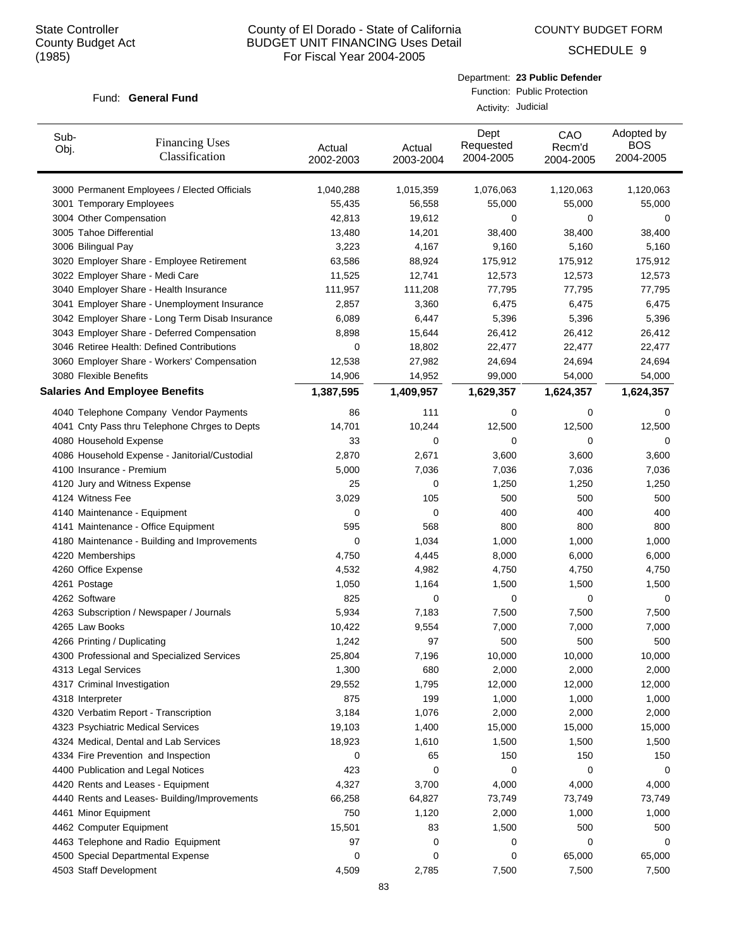COUNTY BUDGET FORM

SCHEDULE 9

#### Fund: General Fund

| Department: 23 Public Defender |
|--------------------------------|
| Function: Public Protection    |

Activity: Judicial

| Sub-<br>Obj. | <b>Financing Uses</b><br>Classification         | Actual<br>2002-2003 | Actual<br>2003-2004 | Dept<br>Requested<br>2004-2005 | CAO<br>Recm'd<br>2004-2005 | Adopted by<br><b>BOS</b><br>2004-2005 |
|--------------|-------------------------------------------------|---------------------|---------------------|--------------------------------|----------------------------|---------------------------------------|
|              | 3000 Permanent Employees / Elected Officials    | 1,040,288           | 1,015,359           | 1,076,063                      | 1,120,063                  | 1,120,063                             |
|              | 3001 Temporary Employees                        | 55,435              | 56,558              | 55,000                         | 55,000                     | 55,000                                |
|              | 3004 Other Compensation                         | 42,813              | 19,612              | 0                              | 0                          | 0                                     |
|              | 3005 Tahoe Differential                         | 13,480              | 14,201              | 38,400                         | 38,400                     | 38,400                                |
|              | 3006 Bilingual Pay                              | 3,223               | 4,167               | 9,160                          | 5,160                      | 5,160                                 |
|              | 3020 Employer Share - Employee Retirement       | 63,586              | 88,924              | 175,912                        | 175,912                    | 175,912                               |
|              | 3022 Employer Share - Medi Care                 | 11,525              | 12,741              | 12,573                         | 12,573                     | 12,573                                |
|              | 3040 Employer Share - Health Insurance          | 111,957             | 111,208             | 77,795                         | 77,795                     | 77,795                                |
|              | 3041 Employer Share - Unemployment Insurance    | 2,857               | 3,360               | 6,475                          | 6,475                      | 6,475                                 |
|              | 3042 Employer Share - Long Term Disab Insurance | 6,089               | 6,447               | 5,396                          | 5,396                      | 5,396                                 |
|              | 3043 Employer Share - Deferred Compensation     | 8,898               | 15,644              | 26,412                         | 26,412                     | 26,412                                |
|              | 3046 Retiree Health: Defined Contributions      | 0                   | 18,802              | 22,477                         | 22,477                     | 22,477                                |
|              | 3060 Employer Share - Workers' Compensation     | 12,538              | 27,982              | 24,694                         | 24,694                     | 24,694                                |
|              | 3080 Flexible Benefits                          | 14,906              | 14,952              | 99,000                         | 54,000                     | 54,000                                |
|              | <b>Salaries And Employee Benefits</b>           | 1,387,595           | 1,409,957           | 1,629,357                      | 1,624,357                  | 1,624,357                             |
|              | 4040 Telephone Company Vendor Payments          | 86                  | 111                 | 0                              | 0                          | 0                                     |
|              | 4041 Cnty Pass thru Telephone Chrges to Depts   | 14,701              | 10,244              | 12,500                         | 12,500                     | 12,500                                |
|              | 4080 Household Expense                          | 33                  | 0                   | 0                              | 0                          | 0                                     |
|              | 4086 Household Expense - Janitorial/Custodial   | 2,870               | 2,671               | 3,600                          | 3,600                      | 3,600                                 |
|              | 4100 Insurance - Premium                        | 5,000               | 7,036               | 7,036                          | 7,036                      | 7,036                                 |
|              | 4120 Jury and Witness Expense                   | 25                  | 0                   | 1,250                          | 1,250                      | 1,250                                 |
|              | 4124 Witness Fee                                | 3,029               | 105                 | 500                            | 500                        | 500                                   |
|              | 4140 Maintenance - Equipment                    | 0                   | 0                   | 400                            | 400                        | 400                                   |
|              | 4141 Maintenance - Office Equipment             | 595                 | 568                 | 800                            | 800                        | 800                                   |
|              | 4180 Maintenance - Building and Improvements    | 0                   | 1,034               | 1,000                          | 1,000                      | 1,000                                 |
|              | 4220 Memberships                                | 4,750               | 4,445               | 8,000                          | 6,000                      | 6,000                                 |
|              | 4260 Office Expense                             | 4,532               | 4,982               | 4,750                          | 4,750                      | 4,750                                 |
|              | 4261 Postage                                    | 1,050               | 1,164               | 1,500                          | 1,500                      | 1,500                                 |
|              | 4262 Software                                   | 825                 | 0                   | 0                              | 0                          | 0                                     |
|              | 4263 Subscription / Newspaper / Journals        | 5,934               | 7,183               | 7,500                          | 7,500                      | 7,500                                 |
|              | 4265 Law Books                                  | 10,422              | 9,554               | 7,000                          | 7,000                      | 7,000                                 |
|              | 4266 Printing / Duplicating                     | 1,242               | 97                  | 500                            | 500                        | 500                                   |
|              | 4300 Professional and Specialized Services      | 25,804              | 7,196               | 10,000                         | 10,000                     | 10,000                                |
|              | 4313 Legal Services                             | 1,300               | 680                 | 2,000                          | 2,000                      | 2,000                                 |
|              | 4317 Criminal Investigation                     | 29,552              | 1,795               | 12,000                         | 12,000                     | 12,000                                |
|              | 4318 Interpreter                                | 875                 | 199                 | 1,000                          | 1,000                      | 1,000                                 |
|              | 4320 Verbatim Report - Transcription            | 3,184               | 1,076               | 2,000                          | 2,000                      | 2,000                                 |
|              | 4323 Psychiatric Medical Services               | 19,103              | 1,400               | 15,000                         | 15,000                     | 15,000                                |
|              | 4324 Medical, Dental and Lab Services           | 18,923              | 1,610               | 1,500                          | 1,500                      | 1,500                                 |
|              | 4334 Fire Prevention and Inspection             | 0                   | 65                  | 150                            | 150                        | 150                                   |
|              | 4400 Publication and Legal Notices              | 423                 | 0                   | 0                              | 0                          | 0                                     |
|              | 4420 Rents and Leases - Equipment               | 4,327               | 3,700               | 4,000                          | 4,000                      | 4,000                                 |
|              | 4440 Rents and Leases- Building/Improvements    | 66,258              | 64,827              | 73,749                         | 73,749                     | 73,749                                |
|              | 4461 Minor Equipment                            | 750                 | 1,120               | 2,000                          | 1,000                      | 1,000                                 |
|              | 4462 Computer Equipment                         | 15,501              | 83                  | 1,500                          | 500                        | 500                                   |
|              | 4463 Telephone and Radio Equipment              | 97                  | 0                   | 0                              | 0                          | 0                                     |
|              | 4500 Special Departmental Expense               | 0                   | 0                   | 0                              | 65,000                     | 65,000                                |
|              | 4503 Staff Development                          | 4,509               | 2,785               | 7,500                          | 7,500                      | 7,500                                 |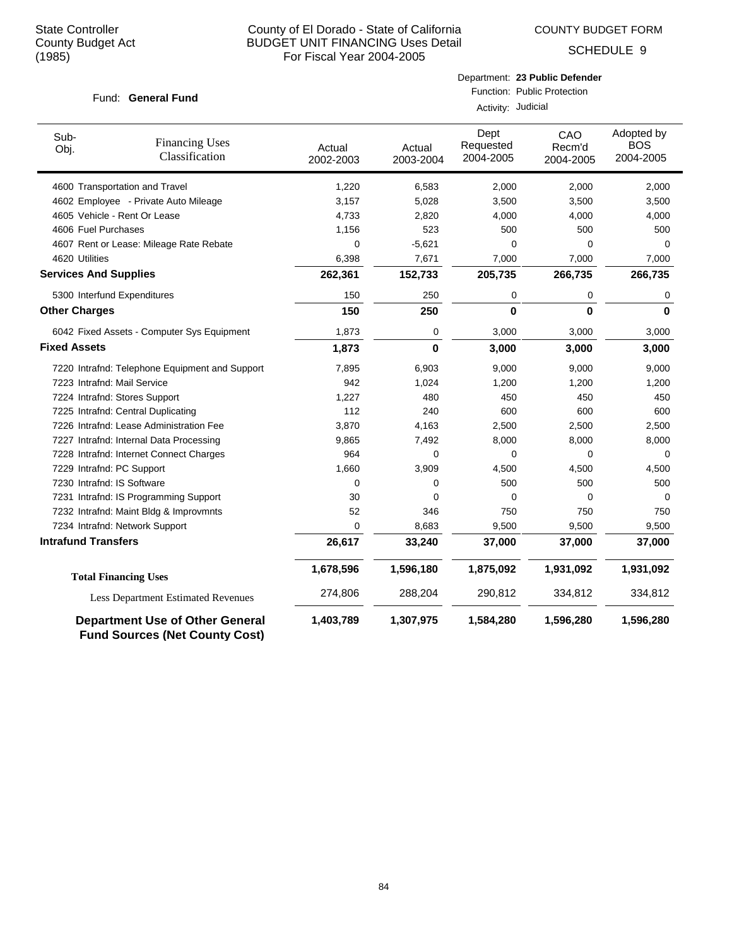COUNTY BUDGET FORM

SCHEDULE 9

|                              | Fund: General Fund                             | Department: 23 Public Defender<br>Function: Public Protection<br>Activity: Judicial |                     |                                |                            |                                       |  |
|------------------------------|------------------------------------------------|-------------------------------------------------------------------------------------|---------------------|--------------------------------|----------------------------|---------------------------------------|--|
| Sub-<br>Obj.                 | <b>Financing Uses</b><br>Classification        | Actual<br>2002-2003                                                                 | Actual<br>2003-2004 | Dept<br>Requested<br>2004-2005 | CAO<br>Recm'd<br>2004-2005 | Adopted by<br><b>BOS</b><br>2004-2005 |  |
|                              | 4600 Transportation and Travel                 | 1,220                                                                               | 6,583               | 2,000                          | 2,000                      | 2,000                                 |  |
|                              | 4602 Employee - Private Auto Mileage           | 3,157                                                                               | 5,028               | 3,500                          | 3,500                      | 3,500                                 |  |
|                              | 4605 Vehicle - Rent Or Lease                   | 4,733                                                                               | 2,820               | 4,000                          | 4,000                      | 4,000                                 |  |
| 4606 Fuel Purchases          |                                                | 1,156                                                                               | 523                 | 500                            | 500                        | 500                                   |  |
|                              | 4607 Rent or Lease: Mileage Rate Rebate        | 0                                                                                   | $-5,621$            | 0                              | $\mathbf 0$                | $\Omega$                              |  |
| 4620 Utilities               |                                                | 6,398                                                                               | 7,671               | 7,000                          | 7,000                      | 7,000                                 |  |
| <b>Services And Supplies</b> |                                                | 262,361                                                                             | 152,733             | 205,735                        | 266,735                    | 266,735                               |  |
|                              | 5300 Interfund Expenditures                    | 150                                                                                 | 250                 | 0                              | 0                          | 0                                     |  |
| <b>Other Charges</b>         |                                                | 150                                                                                 | 250                 | $\bf{0}$                       | $\mathbf 0$                | $\bf{0}$                              |  |
|                              | 6042 Fixed Assets - Computer Sys Equipment     | 1,873                                                                               | 0                   | 3,000                          | 3,000                      | 3,000                                 |  |
| <b>Fixed Assets</b>          |                                                | 1,873                                                                               | 0                   | 3,000                          | 3,000                      | 3,000                                 |  |
|                              | 7220 Intrafnd: Telephone Equipment and Support | 7,895                                                                               | 6,903               | 9,000                          | 9,000                      | 9,000                                 |  |
| 7223 Intrafnd: Mail Service  |                                                | 942                                                                                 | 1,024               | 1,200                          | 1,200                      | 1,200                                 |  |
|                              | 7224 Intrafnd: Stores Support                  | 1,227                                                                               | 480                 | 450                            | 450                        | 450                                   |  |
|                              | 7225 Intrafnd: Central Duplicating             | 112                                                                                 | 240                 | 600                            | 600                        | 600                                   |  |
|                              | 7226 Intrafnd: Lease Administration Fee        | 3,870                                                                               | 4,163               | 2,500                          | 2,500                      | 2,500                                 |  |
|                              | 7227 Intrafnd: Internal Data Processing        | 9,865                                                                               | 7,492               | 8,000                          | 8,000                      | 8,000                                 |  |
|                              | 7228 Intrafnd: Internet Connect Charges        | 964                                                                                 | 0                   | 0                              | 0                          | 0                                     |  |
| 7229 Intrafnd: PC Support    |                                                | 1,660                                                                               | 3,909               | 4,500                          | 4,500                      | 4,500                                 |  |
| 7230 Intrafnd: IS Software   |                                                | $\Omega$                                                                            | 0                   | 500                            | 500                        | 500                                   |  |
|                              | 7231 Intrafnd: IS Programming Support          | 30                                                                                  | $\mathbf 0$         | $\mathbf 0$                    | $\mathbf 0$                | 0                                     |  |
|                              | 7232 Intrafnd: Maint Bldg & Improvmnts         | 52                                                                                  | 346                 | 750                            | 750                        | 750                                   |  |
|                              | 7234 Intrafnd: Network Support                 | 0                                                                                   | 8,683               | 9,500                          | 9,500                      | 9,500                                 |  |
| <b>Intrafund Transfers</b>   |                                                | 26,617                                                                              | 33,240              | 37,000                         | 37,000                     | 37,000                                |  |
|                              | <b>Total Financing Uses</b>                    | 1,678,596                                                                           | 1,596,180           | 1,875,092                      | 1,931,092                  | 1,931,092                             |  |
|                              | <b>Less Department Estimated Revenues</b>      | 274,806                                                                             | 288,204             | 290,812                        | 334,812                    | 334,812                               |  |
|                              | <b>Department Use of Other General</b>         | 1,403,789                                                                           | 1,307,975           | 1,584,280                      | 1,596,280                  | 1,596,280                             |  |

**Fund Sources (Net County Cost)**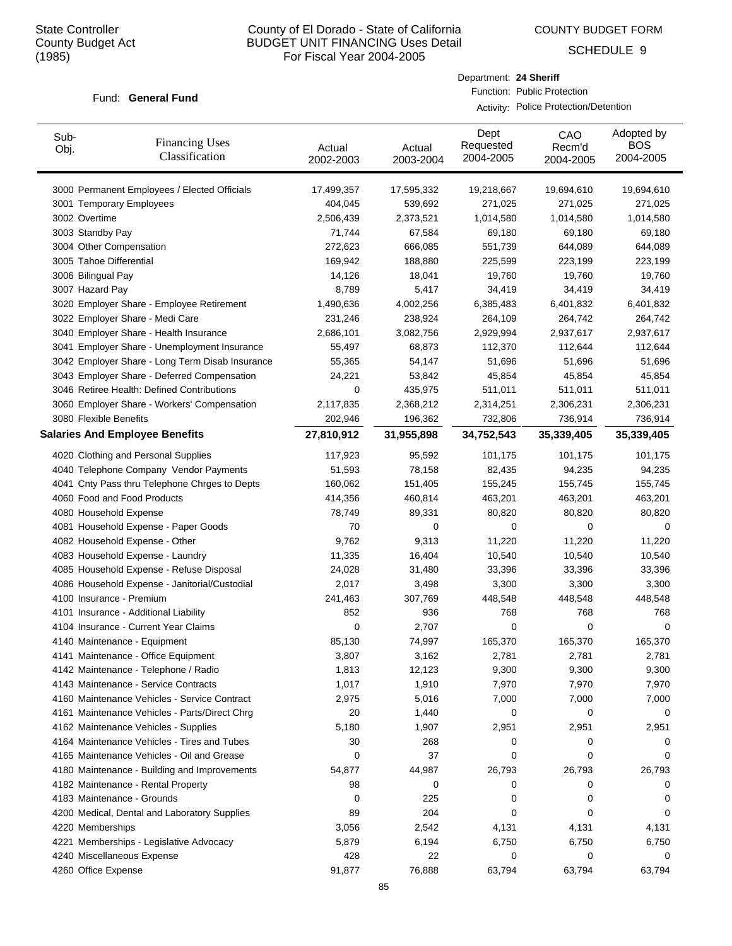Sub-

# County of El Dorado - State of California BUDGET UNIT FINANCING Uses Detail For Fiscal Year 2004-2005

COUNTY BUDGET FORM

Dept

Department: **24 Sheriff**

Function: Public Protection

Activity: Police Protection/Detention

CAO

SCHEDULE 9

Adopted by

| Sub-<br>Obj. | <b>Financing Uses</b><br>Classification         | Actual<br>2002-2003 | Actual<br>2003-2004 | Pvp.<br>Requested<br>2004-2005 | UAU<br>Recm'd<br>2004-2005 | , woptou by<br><b>BOS</b><br>2004-2005 |
|--------------|-------------------------------------------------|---------------------|---------------------|--------------------------------|----------------------------|----------------------------------------|
|              | 3000 Permanent Employees / Elected Officials    | 17,499,357          | 17,595,332          | 19,218,667                     | 19,694,610                 | 19,694,610                             |
|              | 3001 Temporary Employees                        | 404,045             | 539,692             | 271,025                        | 271,025                    | 271,025                                |
|              | 3002 Overtime                                   | 2,506,439           | 2,373,521           | 1,014,580                      | 1,014,580                  | 1,014,580                              |
|              | 3003 Standby Pay                                | 71,744              | 67,584              | 69,180                         | 69,180                     | 69,180                                 |
|              | 3004 Other Compensation                         | 272,623             | 666,085             | 551,739                        | 644,089                    | 644,089                                |
|              | 3005 Tahoe Differential                         | 169,942             | 188,880             | 225,599                        | 223,199                    | 223,199                                |
|              | 3006 Bilingual Pay                              | 14,126              | 18,041              | 19,760                         | 19,760                     | 19,760                                 |
|              | 3007 Hazard Pay                                 | 8,789               | 5,417               | 34,419                         | 34,419                     | 34,419                                 |
|              | 3020 Employer Share - Employee Retirement       | 1,490,636           | 4,002,256           | 6,385,483                      | 6,401,832                  | 6,401,832                              |
|              | 3022 Employer Share - Medi Care                 | 231,246             | 238,924             | 264,109                        | 264,742                    | 264,742                                |
|              | 3040 Employer Share - Health Insurance          | 2,686,101           | 3,082,756           | 2,929,994                      | 2,937,617                  | 2,937,617                              |
|              | 3041 Employer Share - Unemployment Insurance    | 55,497              | 68,873              | 112,370                        | 112,644                    | 112,644                                |
|              | 3042 Employer Share - Long Term Disab Insurance | 55,365              | 54,147              | 51,696                         | 51,696                     | 51,696                                 |
|              | 3043 Employer Share - Deferred Compensation     | 24,221              | 53,842              | 45,854                         | 45,854                     | 45,854                                 |
|              | 3046 Retiree Health: Defined Contributions      | 0                   | 435,975             | 511,011                        | 511,011                    | 511,011                                |
|              | 3060 Employer Share - Workers' Compensation     | 2,117,835           | 2,368,212           | 2,314,251                      | 2,306,231                  | 2,306,231                              |
|              | 3080 Flexible Benefits                          | 202,946             | 196,362             | 732,806                        | 736,914                    | 736,914                                |
|              | <b>Salaries And Employee Benefits</b>           | 27,810,912          | 31,955,898          | 34,752,543                     | 35,339,405                 | 35,339,405                             |
|              | 4020 Clothing and Personal Supplies             | 117,923             | 95,592              | 101,175                        | 101,175                    | 101,175                                |
|              | 4040 Telephone Company Vendor Payments          | 51,593              | 78,158              | 82,435                         | 94,235                     | 94,235                                 |
|              | 4041 Cnty Pass thru Telephone Chrges to Depts   | 160,062             | 151,405             | 155,245                        | 155,745                    | 155,745                                |
|              | 4060 Food and Food Products                     | 414,356             | 460,814             | 463,201                        | 463,201                    | 463,201                                |
|              | 4080 Household Expense                          | 78,749              | 89,331              | 80,820                         | 80,820                     | 80,820                                 |
|              | 4081 Household Expense - Paper Goods            | 70                  | 0                   | 0                              | 0                          | 0                                      |
|              | 4082 Household Expense - Other                  | 9,762               | 9,313               | 11,220                         | 11,220                     | 11,220                                 |
|              | 4083 Household Expense - Laundry                | 11,335              | 16,404              | 10,540                         | 10,540                     | 10,540                                 |
|              | 4085 Household Expense - Refuse Disposal        | 24,028              | 31,480              | 33,396                         | 33,396                     | 33,396                                 |
|              | 4086 Household Expense - Janitorial/Custodial   | 2,017               | 3,498               | 3,300                          | 3,300                      | 3,300                                  |
|              | 4100 Insurance - Premium                        | 241,463             | 307,769             | 448,548                        | 448,548                    | 448,548                                |
|              | 4101 Insurance - Additional Liability           | 852                 | 936                 | 768                            | 768                        | 768                                    |
|              | 4104 Insurance - Current Year Claims            | 0                   | 2,707               | 0                              | 0                          | 0                                      |
|              | 4140 Maintenance - Equipment                    | 85,130              | 74,997              | 165,370                        | 165,370                    | 165,370                                |
|              | 4141 Maintenance - Office Equipment             | 3,807               | 3,162               | 2,781                          | 2,781                      | 2,781                                  |
|              | 4142 Maintenance - Telephone / Radio            | 1,813               | 12,123              | 9,300                          | 9,300                      | 9,300                                  |
|              | 4143 Maintenance - Service Contracts            | 1,017               | 1,910               | 7,970                          | 7,970                      | 7,970                                  |
|              | 4160 Maintenance Vehicles - Service Contract    | 2,975               | 5,016               | 7,000                          | 7,000                      | 7,000                                  |
|              | 4161 Maintenance Vehicles - Parts/Direct Chrg   | 20                  | 1,440               | 0                              | 0                          | 0                                      |
|              | 4162 Maintenance Vehicles - Supplies            | 5,180               | 1,907               | 2,951                          | 2,951                      | 2,951                                  |
|              | 4164 Maintenance Vehicles - Tires and Tubes     | 30                  | 268                 | 0                              | 0                          | 0                                      |
|              | 4165 Maintenance Vehicles - Oil and Grease      | 0                   | 37                  | 0                              | 0                          | 0                                      |
|              | 4180 Maintenance - Building and Improvements    | 54,877              | 44,987              | 26,793                         | 26,793                     | 26,793                                 |
|              | 4182 Maintenance - Rental Property              | 98                  | 0                   | 0                              | 0                          | 0                                      |
|              | 4183 Maintenance - Grounds                      | 0                   | 225                 | 0                              | 0                          | 0                                      |
|              | 4200 Medical, Dental and Laboratory Supplies    | 89                  | 204                 | 0                              | 0                          | 0                                      |
|              | 4220 Memberships                                | 3,056               | 2,542               | 4,131                          | 4,131                      | 4,131                                  |
|              | 4221 Memberships - Legislative Advocacy         | 5,879               | 6,194               | 6,750                          | 6,750                      | 6,750                                  |
|              | 4240 Miscellaneous Expense                      | 428                 | 22                  | 0                              | 0                          | 0                                      |
|              | 4260 Office Expense                             | 91,877              | 76,888              | 63,794                         | 63,794                     | 63,794                                 |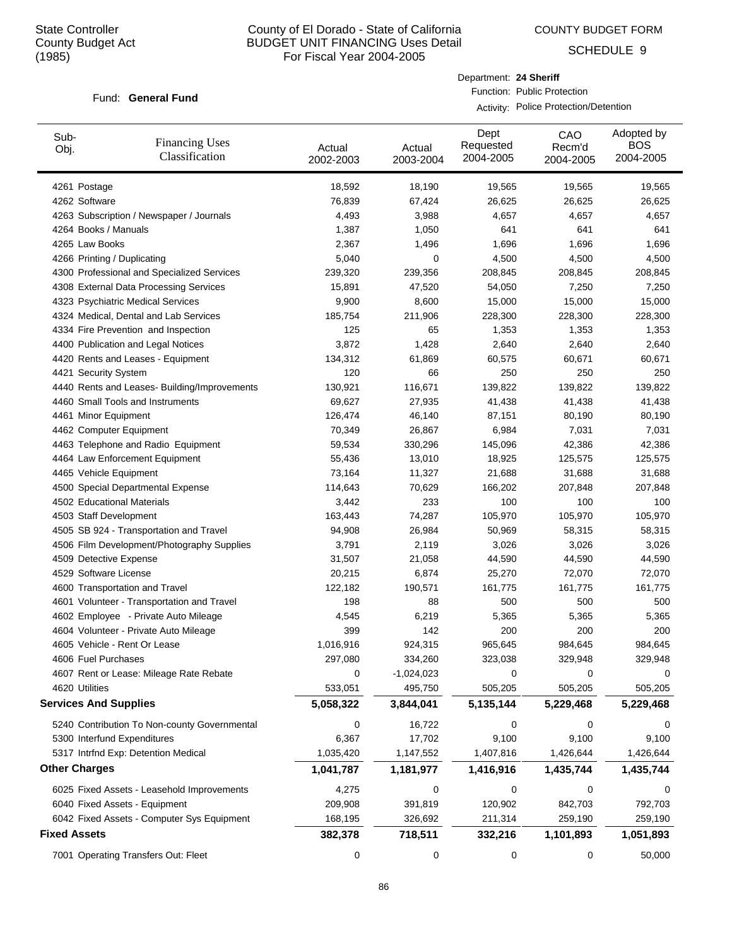COUNTY BUDGET FORM

Department: **24 Sheriff**

Function: Public Protection

Activity: Police Protection/Detention

SCHEDULE 9

| Sub-<br>Obj.                 | <b>Financing Uses</b><br>Classification      | Actual<br>2002-2003    | Actual<br>2003-2004     | Dept<br>Requested<br>2004-2005 | CAO<br>Recm'd<br>2004-2005 | Adopted by<br><b>BOS</b><br>2004-2005 |
|------------------------------|----------------------------------------------|------------------------|-------------------------|--------------------------------|----------------------------|---------------------------------------|
| 4261 Postage                 |                                              | 18,592                 | 18,190                  | 19,565                         | 19,565                     | 19,565                                |
| 4262 Software                |                                              | 76,839                 | 67,424                  | 26,625                         | 26,625                     | 26,625                                |
|                              | 4263 Subscription / Newspaper / Journals     | 4,493                  | 3,988                   | 4,657                          | 4,657                      | 4,657                                 |
| 4264 Books / Manuals         |                                              | 1,387                  | 1,050                   | 641                            | 641                        | 641                                   |
| 4265 Law Books               |                                              | 2,367                  | 1,496                   | 1,696                          | 1,696                      | 1,696                                 |
| 4266 Printing / Duplicating  |                                              | 5,040                  | 0                       | 4,500                          | 4,500                      | 4,500                                 |
|                              | 4300 Professional and Specialized Services   | 239,320                | 239,356                 | 208,845                        | 208,845                    | 208,845                               |
|                              | 4308 External Data Processing Services       | 15,891                 | 47,520                  | 54,050                         | 7,250                      | 7,250                                 |
|                              | 4323 Psychiatric Medical Services            | 9,900                  | 8,600                   | 15,000                         | 15,000                     | 15,000                                |
|                              | 4324 Medical, Dental and Lab Services        | 185,754                | 211,906                 | 228,300                        | 228,300                    | 228,300                               |
|                              | 4334 Fire Prevention and Inspection          | 125                    | 65                      | 1,353                          | 1,353                      | 1,353                                 |
|                              | 4400 Publication and Legal Notices           | 3,872                  | 1,428                   | 2,640                          | 2,640                      | 2,640                                 |
|                              | 4420 Rents and Leases - Equipment            | 134,312                | 61,869                  | 60,575                         | 60,671                     | 60,671                                |
| 4421 Security System         |                                              | 120                    | 66                      | 250                            | 250                        | 250                                   |
|                              | 4440 Rents and Leases- Building/Improvements | 130,921                | 116,671                 | 139,822                        | 139,822                    | 139,822                               |
|                              | 4460 Small Tools and Instruments             | 69,627                 | 27,935                  | 41,438                         | 41,438                     | 41,438                                |
| 4461 Minor Equipment         |                                              | 126,474                | 46,140                  | 87,151                         | 80,190                     | 80,190                                |
| 4462 Computer Equipment      |                                              | 70,349                 | 26,867                  | 6,984                          | 7,031                      | 7,031                                 |
|                              | 4463 Telephone and Radio Equipment           | 59,534                 | 330,296                 | 145,096                        | 42,386                     | 42,386                                |
|                              | 4464 Law Enforcement Equipment               | 55,436                 | 13,010                  | 18,925                         | 125,575                    | 125,575                               |
| 4465 Vehicle Equipment       |                                              | 73,164                 | 11,327                  | 21,688                         | 31,688                     | 31,688                                |
|                              | 4500 Special Departmental Expense            | 114,643                | 70,629                  | 166,202                        | 207,848                    | 207,848                               |
| 4502 Educational Materials   |                                              | 3,442                  | 233                     | 100                            | 100                        | 100                                   |
| 4503 Staff Development       |                                              | 163,443                | 74,287                  | 105,970                        | 105,970                    | 105,970                               |
|                              | 4505 SB 924 - Transportation and Travel      | 94,908                 | 26,984                  | 50,969                         | 58,315                     | 58,315                                |
|                              | 4506 Film Development/Photography Supplies   | 3,791                  | 2,119                   | 3,026                          | 3,026                      | 3,026                                 |
| 4509 Detective Expense       |                                              | 31,507                 | 21,058                  | 44,590                         | 44,590                     | 44,590                                |
| 4529 Software License        |                                              | 20,215                 | 6,874                   | 25,270                         | 72,070                     | 72,070                                |
|                              | 4600 Transportation and Travel               | 122,182                | 190,571                 | 161,775                        | 161,775                    | 161,775                               |
|                              | 4601 Volunteer - Transportation and Travel   | 198                    | 88                      | 500                            | 500                        | 500                                   |
|                              | 4602 Employee - Private Auto Mileage         | 4,545                  | 6,219                   | 5,365                          | 5,365                      | 5,365                                 |
|                              | 4604 Volunteer - Private Auto Mileage        | 399                    | 142                     | 200<br>965,645                 | 200                        | 200                                   |
|                              | 4605 Vehicle - Rent Or Lease                 | 1,016,916              | 924,315<br>334,260      |                                | 984,645                    | 984,645                               |
| 4606 Fuel Purchases          |                                              | 297,080                |                         | 323,038                        | 329,948                    | 329,948                               |
| 4620 Utilities               | 4607 Rent or Lease: Mileage Rate Rebate      | 0                      | $-1,024,023$<br>495,750 | 0                              | 0                          | 0                                     |
| <b>Services And Supplies</b> |                                              | 533,051<br>5,058,322   | 3,844,041               | 505,205<br>5,135,144           | 505,205<br>5,229,468       | 505,205<br>5,229,468                  |
|                              |                                              |                        |                         |                                |                            |                                       |
|                              | 5240 Contribution To Non-county Governmental | 0                      | 16,722                  | 0<br>9,100                     | 0<br>9,100                 | 0                                     |
|                              | 5300 Interfund Expenditures                  | 6,367                  | 17,702                  |                                |                            | 9,100                                 |
| <b>Other Charges</b>         | 5317 Intrfnd Exp: Detention Medical          | 1,035,420<br>1,041,787 | 1,147,552<br>1,181,977  | 1,407,816<br>1,416,916         | 1,426,644<br>1,435,744     | 1,426,644<br>1,435,744                |
|                              | 6025 Fixed Assets - Leasehold Improvements   | 4,275                  | 0                       | 0                              | 0                          | 0                                     |
|                              | 6040 Fixed Assets - Equipment                | 209,908                | 391,819                 | 120,902                        | 842,703                    | 792,703                               |
|                              | 6042 Fixed Assets - Computer Sys Equipment   | 168,195                | 326,692                 | 211,314                        | 259,190                    | 259,190                               |
| <b>Fixed Assets</b>          |                                              | 382,378                | 718,511                 | 332,216                        | 1,101,893                  | 1,051,893                             |
|                              | 7001 Operating Transfers Out: Fleet          | 0                      | 0                       | 0                              | 0                          | 50,000                                |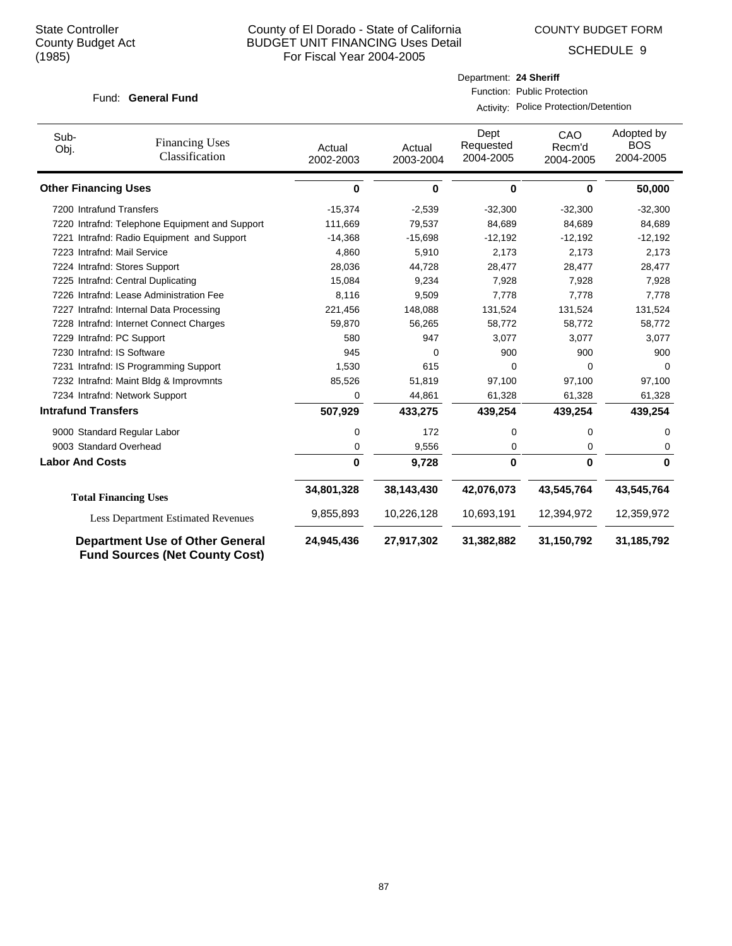COUNTY BUDGET FORM

Department: **24 Sheriff**

Function: Public Protection

Activity: Police Protection/Detention

SCHEDULE 9

| Sub-<br>Obj.                | <b>Financing Uses</b><br>Classification                                         | Actual<br>2002-2003 | Actual<br>2003-2004 | Dept<br>Requested<br>2004-2005 | CAO<br>Recm'd<br>2004-2005 | Adopted by<br><b>BOS</b><br>2004-2005 |
|-----------------------------|---------------------------------------------------------------------------------|---------------------|---------------------|--------------------------------|----------------------------|---------------------------------------|
| <b>Other Financing Uses</b> |                                                                                 | $\bf{0}$            | 0                   | 0                              | 0                          | 50,000                                |
|                             | 7200 Intrafund Transfers                                                        | $-15,374$           | $-2,539$            | $-32,300$                      | $-32,300$                  | $-32,300$                             |
|                             | 7220 Intrafnd: Telephone Equipment and Support                                  | 111,669             | 79,537              | 84,689                         | 84,689                     | 84,689                                |
|                             | 7221 Intrafnd: Radio Equipment and Support                                      | $-14,368$           | $-15,698$           | $-12,192$                      | $-12,192$                  | $-12,192$                             |
|                             | 7223 Intrafnd: Mail Service                                                     | 4,860               | 5,910               | 2,173                          | 2,173                      | 2,173                                 |
|                             | 7224 Intrafnd: Stores Support                                                   | 28,036              | 44,728              | 28,477                         | 28,477                     | 28,477                                |
|                             | 7225 Intrafnd: Central Duplicating                                              | 15,084              | 9,234               | 7,928                          | 7,928                      | 7,928                                 |
|                             | 7226 Intrafnd: Lease Administration Fee                                         | 8,116               | 9,509               | 7,778                          | 7,778                      | 7,778                                 |
|                             | 7227 Intrafnd: Internal Data Processing                                         | 221,456             | 148,088             | 131,524                        | 131,524                    | 131,524                               |
|                             | 7228 Intrafnd: Internet Connect Charges                                         | 59,870              | 56,265              | 58,772                         | 58,772                     | 58,772                                |
|                             | 7229 Intrafnd: PC Support                                                       | 580                 | 947                 | 3,077                          | 3,077                      | 3,077                                 |
|                             | 7230 Intrafnd: IS Software                                                      | 945                 | 0                   | 900                            | 900                        | 900                                   |
|                             | 7231 Intrafnd: IS Programming Support                                           | 1,530               | 615                 | 0                              | 0                          | $\Omega$                              |
|                             | 7232 Intrafnd: Maint Bldg & Improvmnts                                          | 85,526              | 51,819              | 97,100                         | 97,100                     | 97,100                                |
|                             | 7234 Intrafnd: Network Support                                                  | 0                   | 44,861              | 61,328                         | 61,328                     | 61,328                                |
| <b>Intrafund Transfers</b>  |                                                                                 | 507,929             | 433,275             | 439,254                        | 439,254                    | 439,254                               |
|                             | 9000 Standard Regular Labor                                                     | 0                   | 172                 | 0                              | 0                          | 0                                     |
|                             | 9003 Standard Overhead                                                          | 0                   | 9,556               | 0                              | 0                          | 0                                     |
| <b>Labor And Costs</b>      |                                                                                 | $\bf{0}$            | 9,728               | 0                              | $\bf{0}$                   | $\bf{0}$                              |
|                             | <b>Total Financing Uses</b>                                                     | 34,801,328          | 38,143,430          | 42,076,073                     | 43,545,764                 | 43,545,764                            |
|                             | <b>Less Department Estimated Revenues</b>                                       | 9,855,893           | 10,226,128          | 10,693,191                     | 12,394,972                 | 12,359,972                            |
|                             | <b>Department Use of Other General</b><br><b>Fund Sources (Net County Cost)</b> | 24,945,436          | 27,917,302          | 31,382,882                     | 31,150,792                 | 31,185,792                            |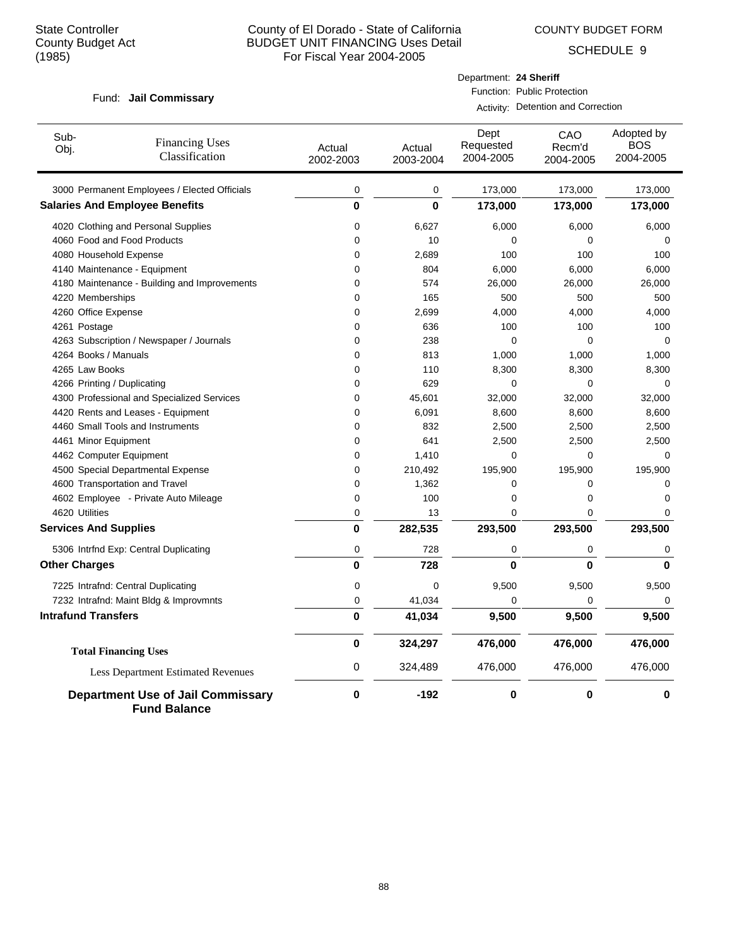COUNTY BUDGET FORM

SCHEDULE 9

#### Fund: Jail Commissary

### Department: **24 Sheriff** Function: Public Protection

Activity: Detention and Correction

| Sub-<br>Obj.                 | <b>Financing Uses</b><br>Classification                         | Actual<br>2002-2003 | Actual<br>2003-2004 | Dept<br>Requested<br>2004-2005 | CAO<br>Recm'd<br>2004-2005 | Adopted by<br>BOS<br>2004-2005 |
|------------------------------|-----------------------------------------------------------------|---------------------|---------------------|--------------------------------|----------------------------|--------------------------------|
|                              | 3000 Permanent Employees / Elected Officials                    | $\pmb{0}$           | 0                   | 173,000                        | 173,000                    | 173,000                        |
|                              | <b>Salaries And Employee Benefits</b>                           | 0                   | $\mathbf{0}$        | 173,000                        | 173,000                    | 173,000                        |
|                              | 4020 Clothing and Personal Supplies                             | 0                   | 6,627               | 6,000                          | 6,000                      | 6,000                          |
|                              | 4060 Food and Food Products                                     | 0                   | 10                  | 0                              | 0                          | 0                              |
| 4080 Household Expense       |                                                                 | 0                   | 2,689               | 100                            | 100                        | 100                            |
|                              | 4140 Maintenance - Equipment                                    | 0                   | 804                 | 6,000                          | 6,000                      | 6,000                          |
|                              | 4180 Maintenance - Building and Improvements                    | 0                   | 574                 | 26,000                         | 26,000                     | 26,000                         |
| 4220 Memberships             |                                                                 | 0                   | 165                 | 500                            | 500                        | 500                            |
| 4260 Office Expense          |                                                                 | 0                   | 2,699               | 4,000                          | 4,000                      | 4,000                          |
| 4261 Postage                 |                                                                 | 0                   | 636                 | 100                            | 100                        | 100                            |
|                              | 4263 Subscription / Newspaper / Journals                        | 0                   | 238                 | 0                              | 0                          | 0                              |
| 4264 Books / Manuals         |                                                                 | 0                   | 813                 | 1,000                          | 1,000                      | 1,000                          |
| 4265 Law Books               |                                                                 | 0                   | 110                 | 8,300                          | 8,300                      | 8,300                          |
| 4266 Printing / Duplicating  |                                                                 | 0                   | 629                 | 0                              | 0                          | $\Omega$                       |
|                              | 4300 Professional and Specialized Services                      | 0                   | 45,601              | 32,000                         | 32,000                     | 32,000                         |
|                              | 4420 Rents and Leases - Equipment                               | 0                   | 6,091               | 8,600                          | 8,600                      | 8,600                          |
|                              | 4460 Small Tools and Instruments                                | 0                   | 832                 | 2,500                          | 2,500                      | 2,500                          |
| 4461 Minor Equipment         |                                                                 | 0                   | 641                 | 2,500                          | 2,500                      | 2,500                          |
| 4462 Computer Equipment      |                                                                 | 0                   | 1,410               | 0                              | 0                          | $\mathbf 0$                    |
|                              | 4500 Special Departmental Expense                               | 0                   | 210,492             | 195,900                        | 195,900                    | 195,900                        |
|                              | 4600 Transportation and Travel                                  | 0                   | 1,362               | 0                              | 0                          | 0                              |
|                              | 4602 Employee - Private Auto Mileage                            | 0                   | 100                 | 0                              | 0                          | $\mathbf 0$                    |
| 4620 Utilities               |                                                                 | 0                   | 13                  | 0                              | $\Omega$                   | 0                              |
| <b>Services And Supplies</b> |                                                                 | 0                   | 282,535             | 293,500                        | 293,500                    | 293,500                        |
|                              | 5306 Intrfnd Exp: Central Duplicating                           | 0                   | 728                 | 0                              | 0                          | 0                              |
| <b>Other Charges</b>         |                                                                 | 0                   | 728                 | $\bf{0}$                       | $\bf{0}$                   | $\bf{0}$                       |
|                              | 7225 Intrafnd: Central Duplicating                              | 0                   | $\mathbf 0$         | 9,500                          | 9,500                      | 9,500                          |
|                              | 7232 Intrafnd: Maint Bldg & Improvmnts                          | 0                   | 41,034              | 0                              | 0                          | $\mathbf 0$                    |
| <b>Intrafund Transfers</b>   |                                                                 | 0                   | 41,034              | 9,500                          | 9,500                      | 9,500                          |
|                              | <b>Total Financing Uses</b>                                     | 0                   | 324,297             | 476,000                        | 476,000                    | 476,000                        |
|                              | <b>Less Department Estimated Revenues</b>                       | 0                   | 324,489             | 476,000                        | 476,000                    | 476,000                        |
|                              | <b>Department Use of Jail Commissary</b><br><b>Fund Balance</b> | 0                   | $-192$              | $\bf{0}$                       | 0                          | 0                              |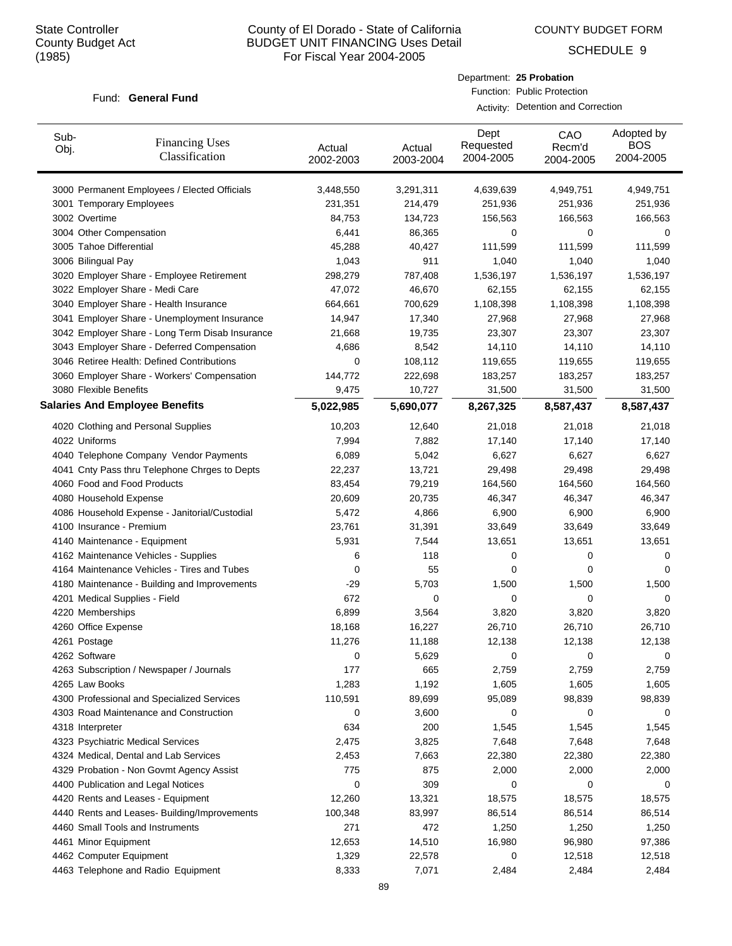Sub-

# County of El Dorado - State of California BUDGET UNIT FINANCING Uses Detail For Fiscal Year 2004-2005

COUNTY BUDGET FORM

Dept

Department: **25 Probation** Function: Public Protection

Activity: Detention and Correction

CAO

SCHEDULE 9

Adopted by

#### Fund: General Fund

Financing Uses

| uw<br>Obj. | Financing Uses<br>Classification                | Actual<br>2002-2003 | Actual<br>2003-2004 | Requested<br>2004-2005 | Recm'd<br>2004-2005 | <b>BOS</b><br>2004-2005 |
|------------|-------------------------------------------------|---------------------|---------------------|------------------------|---------------------|-------------------------|
|            | 3000 Permanent Employees / Elected Officials    | 3,448,550           | 3,291,311           | 4,639,639              | 4,949,751           | 4,949,751               |
|            | 3001 Temporary Employees                        | 231,351             | 214,479             | 251,936                | 251,936             | 251,936                 |
|            | 3002 Overtime                                   | 84,753              | 134,723             | 156,563                | 166,563             | 166,563                 |
|            | 3004 Other Compensation                         | 6,441               | 86,365              | 0                      | 0                   | 0                       |
|            | 3005 Tahoe Differential                         | 45,288              | 40,427              | 111,599                | 111,599             | 111,599                 |
|            | 3006 Bilingual Pay                              | 1,043               | 911                 | 1,040                  | 1,040               | 1,040                   |
|            | 3020 Employer Share - Employee Retirement       | 298,279             | 787,408             | 1,536,197              | 1,536,197           | 1,536,197               |
|            | 3022 Employer Share - Medi Care                 | 47,072              | 46,670              | 62,155                 | 62,155              | 62,155                  |
|            | 3040 Employer Share - Health Insurance          | 664,661             | 700,629             | 1,108,398              | 1,108,398           | 1,108,398               |
|            | 3041 Employer Share - Unemployment Insurance    | 14,947              | 17,340              | 27,968                 | 27,968              | 27,968                  |
|            | 3042 Employer Share - Long Term Disab Insurance | 21,668              | 19,735              | 23,307                 | 23,307              | 23,307                  |
|            | 3043 Employer Share - Deferred Compensation     | 4,686               | 8,542               | 14,110                 | 14,110              | 14,110                  |
|            | 3046 Retiree Health: Defined Contributions      | 0                   | 108,112             | 119,655                | 119,655             | 119,655                 |
|            | 3060 Employer Share - Workers' Compensation     | 144,772             | 222,698             | 183,257                | 183,257             | 183,257                 |
|            | 3080 Flexible Benefits                          | 9,475               | 10,727              | 31,500                 | 31,500              | 31,500                  |
|            | <b>Salaries And Employee Benefits</b>           | 5,022,985           | 5,690,077           | 8,267,325              | 8,587,437           | 8,587,437               |
|            | 4020 Clothing and Personal Supplies             | 10,203              | 12,640              | 21,018                 | 21,018              | 21,018                  |
|            | 4022 Uniforms                                   | 7,994               | 7,882               | 17,140                 | 17,140              | 17,140                  |
|            | 4040 Telephone Company Vendor Payments          | 6,089               | 5,042               | 6,627                  | 6,627               | 6,627                   |
|            | 4041 Cnty Pass thru Telephone Chrges to Depts   | 22,237              | 13,721              | 29,498                 | 29,498              | 29,498                  |
|            | 4060 Food and Food Products                     | 83,454              | 79,219              | 164,560                | 164,560             | 164,560                 |
|            | 4080 Household Expense                          | 20,609              | 20,735              | 46,347                 | 46,347              | 46,347                  |
|            | 4086 Household Expense - Janitorial/Custodial   | 5,472               | 4,866               | 6,900                  | 6,900               | 6,900                   |
|            | 4100 Insurance - Premium                        | 23,761              | 31,391              | 33,649                 | 33,649              | 33,649                  |
|            | 4140 Maintenance - Equipment                    | 5,931               | 7,544               | 13,651                 | 13,651              | 13,651                  |
|            | 4162 Maintenance Vehicles - Supplies            | 6                   | 118                 | 0                      | 0                   | 0                       |
|            | 4164 Maintenance Vehicles - Tires and Tubes     | 0                   | 55                  | 0                      | 0                   | 0                       |
|            | 4180 Maintenance - Building and Improvements    | $-29$               | 5,703               | 1,500                  | 1,500               | 1,500                   |
|            | 4201 Medical Supplies - Field                   | 672                 | 0                   | 0                      | 0                   | 0                       |
|            | 4220 Memberships                                | 6,899               | 3,564               | 3,820                  | 3,820               | 3,820                   |
|            | 4260 Office Expense                             | 18,168              | 16,227              | 26,710                 | 26,710              | 26,710                  |
|            | 4261 Postage                                    | 11,276              | 11,188              | 12,138                 | 12,138              | 12,138                  |
|            | 4262 Software                                   | 0                   | 5,629               | 0                      | 0                   | 0                       |
|            | 4263 Subscription / Newspaper / Journals        | 177                 | 665                 | 2,759                  | 2,759               | 2,759                   |
|            | 4265 Law Books                                  | 1,283               | 1,192               | 1,605                  | 1,605               | 1,605                   |
|            | 4300 Professional and Specialized Services      | 110,591             | 89,699              | 95,089                 | 98,839              | 98,839                  |
|            | 4303 Road Maintenance and Construction          | 0                   | 3,600               | 0                      | 0                   | 0                       |
|            | 4318 Interpreter                                | 634                 | 200                 | 1,545                  | 1,545               | 1,545                   |
|            | 4323 Psychiatric Medical Services               | 2,475               | 3,825               | 7,648                  | 7,648               | 7,648                   |
|            | 4324 Medical, Dental and Lab Services           | 2,453               | 7,663               | 22,380                 | 22,380              | 22,380                  |
|            | 4329 Probation - Non Govmt Agency Assist        | 775                 | 875                 | 2,000                  | 2,000               | 2,000                   |
|            | 4400 Publication and Legal Notices              | 0                   | 309                 | 0                      | 0                   | 0                       |
|            | 4420 Rents and Leases - Equipment               | 12,260              | 13,321              | 18,575                 | 18,575              | 18,575                  |
|            | 4440 Rents and Leases- Building/Improvements    | 100,348             | 83,997              | 86,514                 | 86,514              | 86,514                  |
|            | 4460 Small Tools and Instruments                | 271                 | 472                 | 1,250                  | 1,250               | 1,250                   |
|            | 4461 Minor Equipment                            | 12,653              | 14,510              | 16,980                 | 96,980              | 97,386                  |

4462 Computer Equipment 1,329 22,578 0 12,518 12,518 4463 Telephone and Radio Equipment 8,333 7,071 2,484 2,484 2,484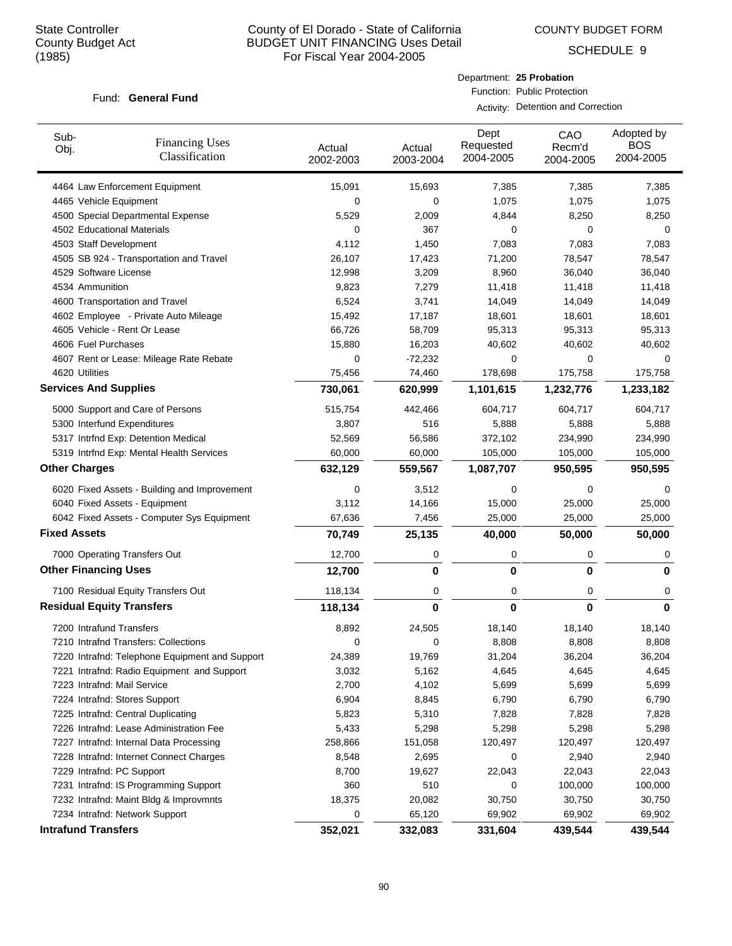COUNTY BUDGET FORM

Department: **25 Probation** Function: Public Protection

Activity: Detention and Correction

SCHEDULE 9

| Sub-<br>Obj.                     | <b>Financing Uses</b><br>Classification        | Actual<br>2002-2003 | Actual<br>2003-2004 | Dept<br>Requested<br>2004-2005 | CAO<br>Recm'd<br>2004-2005 | Adopted by<br><b>BOS</b><br>2004-2005 |
|----------------------------------|------------------------------------------------|---------------------|---------------------|--------------------------------|----------------------------|---------------------------------------|
|                                  | 4464 Law Enforcement Equipment                 | 15,091              | 15,693              | 7,385                          | 7,385                      | 7,385                                 |
| 4465 Vehicle Equipment           |                                                | 0                   | 0                   | 1,075                          | 1,075                      | 1,075                                 |
|                                  | 4500 Special Departmental Expense              | 5,529               | 2,009               | 4,844                          | 8,250                      | 8,250                                 |
| 4502 Educational Materials       |                                                | 0                   | 367                 | 0                              | 0                          | 0                                     |
| 4503 Staff Development           |                                                | 4,112               | 1,450               | 7,083                          | 7,083                      | 7,083                                 |
|                                  | 4505 SB 924 - Transportation and Travel        | 26,107              | 17,423              | 71,200                         | 78,547                     | 78,547                                |
| 4529 Software License            |                                                | 12,998              | 3,209               | 8,960                          | 36,040                     | 36,040                                |
| 4534 Ammunition                  |                                                | 9,823               | 7,279               | 11,418                         | 11,418                     | 11,418                                |
|                                  | 4600 Transportation and Travel                 | 6,524               | 3,741               | 14,049                         | 14,049                     | 14,049                                |
|                                  | 4602 Employee - Private Auto Mileage           | 15,492              | 17,187              | 18,601                         | 18,601                     | 18,601                                |
|                                  | 4605 Vehicle - Rent Or Lease                   | 66,726              | 58,709              | 95,313                         | 95,313                     | 95,313                                |
| 4606 Fuel Purchases              |                                                | 15,880              | 16,203              | 40,602                         | 40,602                     | 40,602                                |
|                                  | 4607 Rent or Lease: Mileage Rate Rebate        | 0                   | -72,232             | 0                              | 0                          | 0                                     |
| 4620 Utilities                   |                                                | 75,456              | 74,460              | 178,698                        | 175,758                    | 175,758                               |
| <b>Services And Supplies</b>     |                                                | 730,061             | 620,999             | 1,101,615                      | 1,232,776                  | 1,233,182                             |
|                                  | 5000 Support and Care of Persons               | 515,754             | 442,466             | 604,717                        | 604,717                    | 604,717                               |
| 5300 Interfund Expenditures      |                                                | 3,807               | 516                 | 5,888                          | 5,888                      | 5,888                                 |
|                                  | 5317 Intrfnd Exp: Detention Medical            | 52,569              | 56,586              | 372,102                        | 234,990                    | 234,990                               |
|                                  | 5319 Intrfnd Exp: Mental Health Services       | 60,000              | 60,000              | 105,000                        | 105,000                    | 105,000                               |
| <b>Other Charges</b>             |                                                | 632,129             | 559,567             | 1,087,707                      | 950,595                    | 950,595                               |
|                                  | 6020 Fixed Assets - Building and Improvement   | 0                   | 3,512               | 0                              | 0                          | 0                                     |
|                                  | 6040 Fixed Assets - Equipment                  | 3,112               | 14,166              | 15,000                         | 25,000                     | 25,000                                |
|                                  | 6042 Fixed Assets - Computer Sys Equipment     | 67,636              | 7,456               | 25,000                         | 25,000                     | 25,000                                |
| <b>Fixed Assets</b>              |                                                | 70,749              | 25,135              | 40,000                         | 50,000                     | 50,000                                |
|                                  | 7000 Operating Transfers Out                   | 12,700              | 0                   | 0                              | 0                          | 0                                     |
| <b>Other Financing Uses</b>      |                                                | 12,700              | 0                   | 0                              | 0                          | 0                                     |
|                                  | 7100 Residual Equity Transfers Out             | 118,134             | 0                   | 0                              | 0                          | 0                                     |
| <b>Residual Equity Transfers</b> |                                                | 118,134             | 0                   | $\bf{0}$                       | 0                          | $\bf{0}$                              |
| 7200 Intrafund Transfers         |                                                | 8,892               | 24,505              | 18,140                         | 18,140                     | 18,140                                |
|                                  | 7210 Intrafnd Transfers: Collections           | 0                   | 0                   | 8,808                          | 8,808                      | 8,808                                 |
|                                  | 7220 Intrafnd: Telephone Equipment and Support | 24,389              | 19,769              | 31,204                         | 36,204                     | 36,204                                |
|                                  | 7221 Intrafnd: Radio Equipment and Support     | 3,032               | 5,162               | 4,645                          | 4,645                      | 4,645                                 |
| 7223 Intrafnd: Mail Service      |                                                | 2,700               | 4,102               | 5,699                          | 5,699                      | 5,699                                 |
|                                  | 7224 Intrafnd: Stores Support                  | 6,904               | 8,845               | 6,790                          | 6,790                      | 6,790                                 |
|                                  | 7225 Intrafnd: Central Duplicating             | 5,823               | 5,310               | 7,828                          | 7,828                      | 7,828                                 |
|                                  | 7226 Intrafnd: Lease Administration Fee        | 5,433               | 5,298               | 5,298                          | 5,298                      | 5,298                                 |
|                                  | 7227 Intrafnd: Internal Data Processing        | 258,866             | 151,058             | 120,497                        | 120,497                    | 120,497                               |
|                                  | 7228 Intrafnd: Internet Connect Charges        | 8,548               | 2,695               | 0                              | 2,940                      | 2,940                                 |
| 7229 Intrafnd: PC Support        |                                                | 8,700               | 19,627              | 22,043                         | 22,043                     | 22,043                                |
|                                  | 7231 Intrafnd: IS Programming Support          | 360                 | 510                 | 0                              | 100,000                    | 100,000                               |
|                                  | 7232 Intrafnd: Maint Bldg & Improvmnts         | 18,375              | 20,082              | 30,750                         | 30,750                     | 30,750                                |
|                                  | 7234 Intrafnd: Network Support                 | 0                   | 65,120              | 69,902                         | 69,902                     | 69,902                                |
| <b>Intrafund Transfers</b>       |                                                | 352,021             | 332,083             | 331,604                        | 439,544                    | 439,544                               |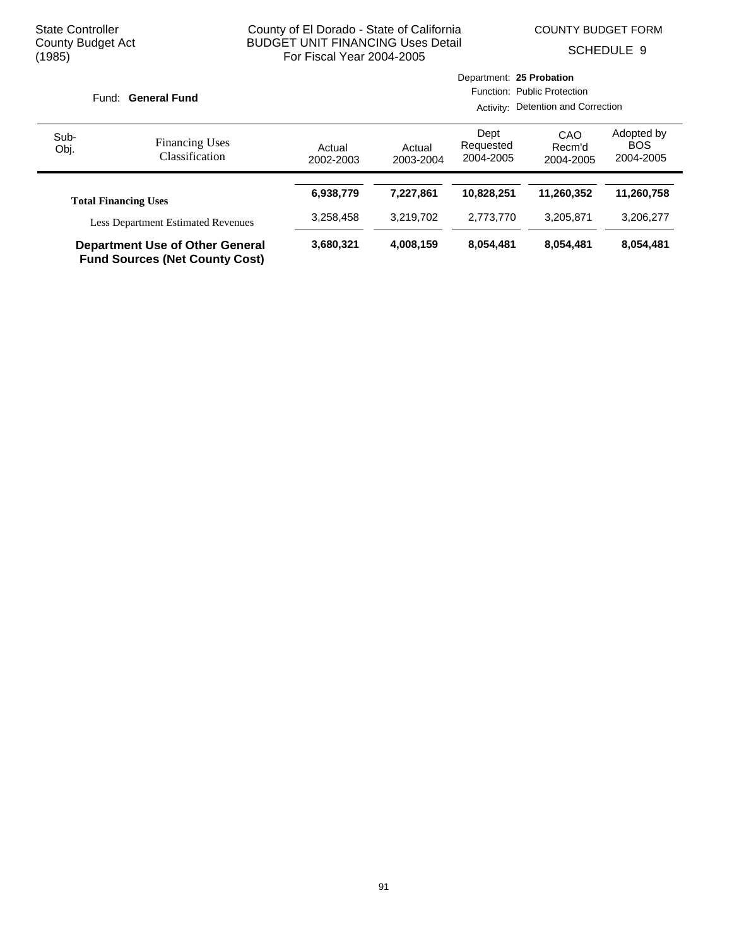COUNTY BUDGET FORM

SCHEDULE 9

|              |                                                                                 |                     | Department: 25 Probation |                                |                                    |                                       |  |  |
|--------------|---------------------------------------------------------------------------------|---------------------|--------------------------|--------------------------------|------------------------------------|---------------------------------------|--|--|
|              | <b>General Fund</b><br>Fund:                                                    |                     |                          |                                | Function: Public Protection        |                                       |  |  |
|              |                                                                                 |                     |                          |                                | Activity: Detention and Correction |                                       |  |  |
| Sub-<br>Obj. | <b>Financing Uses</b><br>Classification                                         | Actual<br>2002-2003 | Actual<br>2003-2004      | Dept<br>Requested<br>2004-2005 | CAO<br>Recm'd<br>2004-2005         | Adopted by<br><b>BOS</b><br>2004-2005 |  |  |
|              | <b>Total Financing Uses</b>                                                     | 6,938,779           | 7.227.861                | 10,828,251                     | 11.260.352                         | 11,260,758                            |  |  |
|              | <b>Less Department Estimated Revenues</b>                                       | 3,258,458           | 3,219,702                | 2,773,770                      | 3,205,871                          | 3,206,277                             |  |  |
|              | <b>Department Use of Other General</b><br><b>Fund Sources (Net County Cost)</b> | 3,680,321           | 4,008,159                | 8,054,481                      | 8,054,481                          | 8,054,481                             |  |  |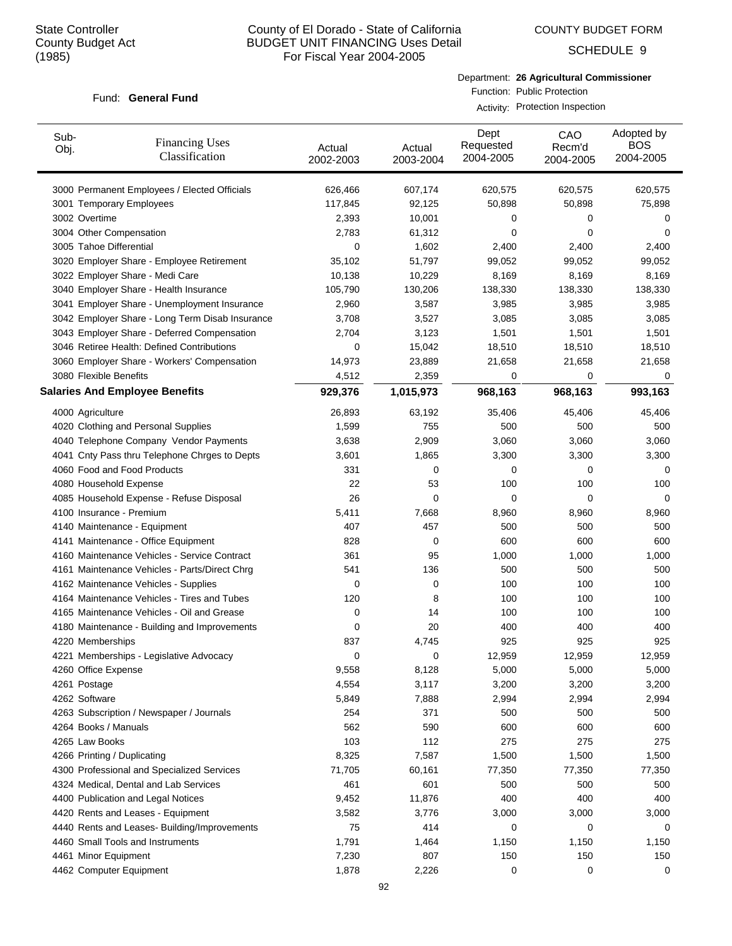COUNTY BUDGET FORM

SCHEDULE 9

#### Fund: General Fund

Department: **26 Agricultural Commissioner** Function: Public Protection

Activity: Protection Inspection

| 3000 Permanent Employees / Elected Officials<br>607,174<br>620,575<br>620,575<br>626,466<br>620,575<br>50,898<br>3001 Temporary Employees<br>117,845<br>92,125<br>50,898<br>75,898<br>3002 Overtime<br>2,393<br>10,001<br>0<br>0<br>0<br>3004 Other Compensation<br>2,783<br>0<br>0<br>61,312<br>0<br>3005 Tahoe Differential<br>0<br>1,602<br>2,400<br>2,400<br>2,400<br>3020 Employer Share - Employee Retirement<br>35,102<br>51,797<br>99,052<br>99,052<br>99,052<br>3022 Employer Share - Medi Care<br>8,169<br>8,169<br>10,138<br>10,229<br>8,169<br>3040 Employer Share - Health Insurance<br>105,790<br>130,206<br>138,330<br>138,330<br>138,330<br>3041 Employer Share - Unemployment Insurance<br>2,960<br>3,587<br>3,985<br>3,985<br>3,985<br>3042 Employer Share - Long Term Disab Insurance<br>3,708<br>3,085<br>3,085<br>3,527<br>3,085<br>3043 Employer Share - Deferred Compensation<br>2,704<br>3,123<br>1,501<br>1,501<br>1,501<br>3046 Retiree Health: Defined Contributions<br>0<br>15,042<br>18,510<br>18,510<br>18,510<br>3060 Employer Share - Workers' Compensation<br>14,973<br>21,658<br>21,658<br>23,889<br>21,658<br>3080 Flexible Benefits<br>4,512<br>2,359<br>0<br>0<br>0<br><b>Salaries And Employee Benefits</b><br>929,376<br>1,015,973<br>968,163<br>968,163<br>993,163<br>26,893<br>63,192<br>35,406<br>45,406<br>45,406<br>4000 Agriculture<br>4020 Clothing and Personal Supplies<br>1,599<br>755<br>500<br>500<br>500<br>4040 Telephone Company Vendor Payments<br>3,638<br>2,909<br>3,060<br>3,060<br>3,060<br>4041 Cnty Pass thru Telephone Chrges to Depts<br>1,865<br>3,300<br>3,300<br>3,300<br>3,601<br>4060 Food and Food Products<br>331<br>0<br>0<br>0<br>0<br>4080 Household Expense<br>22<br>53<br>100<br>100<br>100<br>26<br>0<br>0<br>0<br>4085 Household Expense - Refuse Disposal<br>0<br>4100 Insurance - Premium<br>5,411<br>7,668<br>8,960<br>8,960<br>8,960<br>4140 Maintenance - Equipment<br>407<br>457<br>500<br>500<br>500<br>828<br>600<br>600<br>600<br>4141 Maintenance - Office Equipment<br>0<br>4160 Maintenance Vehicles - Service Contract<br>361<br>95<br>1,000<br>1,000<br>1,000<br>541<br>136<br>500<br>500<br>500<br>4161 Maintenance Vehicles - Parts/Direct Chrg<br>0<br>0<br>100<br>100<br>100<br>4162 Maintenance Vehicles - Supplies<br>4164 Maintenance Vehicles - Tires and Tubes<br>120<br>8<br>100<br>100<br>100<br>4165 Maintenance Vehicles - Oil and Grease<br>0<br>14<br>100<br>100<br>100<br>4180 Maintenance - Building and Improvements<br>20<br>400<br>400<br>400<br>0<br>837<br>4,745<br>925<br>925<br>925<br>4220 Memberships<br>12,959<br>12,959<br>4221 Memberships - Legislative Advocacy<br>0<br>$\pmb{0}$<br>12,959<br>4260 Office Expense<br>9,558<br>8,128<br>5,000<br>5,000<br>5,000<br>4,554<br>3,200<br>3,200<br>3,200<br>4261 Postage<br>3,117<br>4262 Software<br>5,849<br>7,888<br>2,994<br>2,994<br>2,994<br>254<br>371<br>4263 Subscription / Newspaper / Journals<br>500<br>500<br>500<br>562<br>590<br>600<br>600<br>600<br>4264 Books / Manuals<br>103<br>4265 Law Books<br>112<br>275<br>275<br>275<br>8,325<br>1,500<br>1,500<br>4266 Printing / Duplicating<br>7,587<br>1,500<br>71,705<br>4300 Professional and Specialized Services<br>60,161<br>77,350<br>77,350<br>77,350<br>461<br>601<br>4324 Medical, Dental and Lab Services<br>500<br>500<br>500<br>4400 Publication and Legal Notices<br>9,452<br>400<br>400<br>400<br>11,876<br>4420 Rents and Leases - Equipment<br>3,582<br>3,776<br>3,000<br>3,000<br>3,000<br>75<br>414<br>4440 Rents and Leases- Building/Improvements<br>0<br>0<br>0<br>4460 Small Tools and Instruments<br>1,791<br>1,464<br>1,150<br>1,150<br>1,150<br>4461 Minor Equipment<br>7,230<br>807<br>150<br>150<br>150<br>4462 Computer Equipment<br>1,878<br>0<br>0<br>0 | Sub-<br>Obj. | <b>Financing Uses</b><br>Classification | Actual<br>2002-2003 | Actual<br>2003-2004 | Dept<br>Requested<br>2004-2005 | CAO<br>Recm'd<br>2004-2005 | Adopted by<br><b>BOS</b><br>2004-2005 |
|--------------------------------------------------------------------------------------------------------------------------------------------------------------------------------------------------------------------------------------------------------------------------------------------------------------------------------------------------------------------------------------------------------------------------------------------------------------------------------------------------------------------------------------------------------------------------------------------------------------------------------------------------------------------------------------------------------------------------------------------------------------------------------------------------------------------------------------------------------------------------------------------------------------------------------------------------------------------------------------------------------------------------------------------------------------------------------------------------------------------------------------------------------------------------------------------------------------------------------------------------------------------------------------------------------------------------------------------------------------------------------------------------------------------------------------------------------------------------------------------------------------------------------------------------------------------------------------------------------------------------------------------------------------------------------------------------------------------------------------------------------------------------------------------------------------------------------------------------------------------------------------------------------------------------------------------------------------------------------------------------------------------------------------------------------------------------------------------------------------------------------------------------------------------------------------------------------------------------------------------------------------------------------------------------------------------------------------------------------------------------------------------------------------------------------------------------------------------------------------------------------------------------------------------------------------------------------------------------------------------------------------------------------------------------------------------------------------------------------------------------------------------------------------------------------------------------------------------------------------------------------------------------------------------------------------------------------------------------------------------------------------------------------------------------------------------------------------------------------------------------------------------------------------------------------------------------------------------------------------------------------------------------------------------------------------------------------------------------------------------------------------------------------------------------------------------------------------------------------------------------------------------------------------------------------------------------------------------------------------------------------------------------------------------------------------------------------------------------------------------------------------------------------------------------------------------------|--------------|-----------------------------------------|---------------------|---------------------|--------------------------------|----------------------------|---------------------------------------|
|                                                                                                                                                                                                                                                                                                                                                                                                                                                                                                                                                                                                                                                                                                                                                                                                                                                                                                                                                                                                                                                                                                                                                                                                                                                                                                                                                                                                                                                                                                                                                                                                                                                                                                                                                                                                                                                                                                                                                                                                                                                                                                                                                                                                                                                                                                                                                                                                                                                                                                                                                                                                                                                                                                                                                                                                                                                                                                                                                                                                                                                                                                                                                                                                                                                                                                                                                                                                                                                                                                                                                                                                                                                                                                                                                                                                                          |              |                                         |                     |                     |                                |                            |                                       |
|                                                                                                                                                                                                                                                                                                                                                                                                                                                                                                                                                                                                                                                                                                                                                                                                                                                                                                                                                                                                                                                                                                                                                                                                                                                                                                                                                                                                                                                                                                                                                                                                                                                                                                                                                                                                                                                                                                                                                                                                                                                                                                                                                                                                                                                                                                                                                                                                                                                                                                                                                                                                                                                                                                                                                                                                                                                                                                                                                                                                                                                                                                                                                                                                                                                                                                                                                                                                                                                                                                                                                                                                                                                                                                                                                                                                                          |              |                                         |                     |                     |                                |                            |                                       |
|                                                                                                                                                                                                                                                                                                                                                                                                                                                                                                                                                                                                                                                                                                                                                                                                                                                                                                                                                                                                                                                                                                                                                                                                                                                                                                                                                                                                                                                                                                                                                                                                                                                                                                                                                                                                                                                                                                                                                                                                                                                                                                                                                                                                                                                                                                                                                                                                                                                                                                                                                                                                                                                                                                                                                                                                                                                                                                                                                                                                                                                                                                                                                                                                                                                                                                                                                                                                                                                                                                                                                                                                                                                                                                                                                                                                                          |              |                                         |                     |                     |                                |                            |                                       |
|                                                                                                                                                                                                                                                                                                                                                                                                                                                                                                                                                                                                                                                                                                                                                                                                                                                                                                                                                                                                                                                                                                                                                                                                                                                                                                                                                                                                                                                                                                                                                                                                                                                                                                                                                                                                                                                                                                                                                                                                                                                                                                                                                                                                                                                                                                                                                                                                                                                                                                                                                                                                                                                                                                                                                                                                                                                                                                                                                                                                                                                                                                                                                                                                                                                                                                                                                                                                                                                                                                                                                                                                                                                                                                                                                                                                                          |              |                                         |                     |                     |                                |                            |                                       |
|                                                                                                                                                                                                                                                                                                                                                                                                                                                                                                                                                                                                                                                                                                                                                                                                                                                                                                                                                                                                                                                                                                                                                                                                                                                                                                                                                                                                                                                                                                                                                                                                                                                                                                                                                                                                                                                                                                                                                                                                                                                                                                                                                                                                                                                                                                                                                                                                                                                                                                                                                                                                                                                                                                                                                                                                                                                                                                                                                                                                                                                                                                                                                                                                                                                                                                                                                                                                                                                                                                                                                                                                                                                                                                                                                                                                                          |              |                                         |                     |                     |                                |                            |                                       |
|                                                                                                                                                                                                                                                                                                                                                                                                                                                                                                                                                                                                                                                                                                                                                                                                                                                                                                                                                                                                                                                                                                                                                                                                                                                                                                                                                                                                                                                                                                                                                                                                                                                                                                                                                                                                                                                                                                                                                                                                                                                                                                                                                                                                                                                                                                                                                                                                                                                                                                                                                                                                                                                                                                                                                                                                                                                                                                                                                                                                                                                                                                                                                                                                                                                                                                                                                                                                                                                                                                                                                                                                                                                                                                                                                                                                                          |              |                                         |                     |                     |                                |                            |                                       |
|                                                                                                                                                                                                                                                                                                                                                                                                                                                                                                                                                                                                                                                                                                                                                                                                                                                                                                                                                                                                                                                                                                                                                                                                                                                                                                                                                                                                                                                                                                                                                                                                                                                                                                                                                                                                                                                                                                                                                                                                                                                                                                                                                                                                                                                                                                                                                                                                                                                                                                                                                                                                                                                                                                                                                                                                                                                                                                                                                                                                                                                                                                                                                                                                                                                                                                                                                                                                                                                                                                                                                                                                                                                                                                                                                                                                                          |              |                                         |                     |                     |                                |                            |                                       |
|                                                                                                                                                                                                                                                                                                                                                                                                                                                                                                                                                                                                                                                                                                                                                                                                                                                                                                                                                                                                                                                                                                                                                                                                                                                                                                                                                                                                                                                                                                                                                                                                                                                                                                                                                                                                                                                                                                                                                                                                                                                                                                                                                                                                                                                                                                                                                                                                                                                                                                                                                                                                                                                                                                                                                                                                                                                                                                                                                                                                                                                                                                                                                                                                                                                                                                                                                                                                                                                                                                                                                                                                                                                                                                                                                                                                                          |              |                                         |                     |                     |                                |                            |                                       |
|                                                                                                                                                                                                                                                                                                                                                                                                                                                                                                                                                                                                                                                                                                                                                                                                                                                                                                                                                                                                                                                                                                                                                                                                                                                                                                                                                                                                                                                                                                                                                                                                                                                                                                                                                                                                                                                                                                                                                                                                                                                                                                                                                                                                                                                                                                                                                                                                                                                                                                                                                                                                                                                                                                                                                                                                                                                                                                                                                                                                                                                                                                                                                                                                                                                                                                                                                                                                                                                                                                                                                                                                                                                                                                                                                                                                                          |              |                                         |                     |                     |                                |                            |                                       |
|                                                                                                                                                                                                                                                                                                                                                                                                                                                                                                                                                                                                                                                                                                                                                                                                                                                                                                                                                                                                                                                                                                                                                                                                                                                                                                                                                                                                                                                                                                                                                                                                                                                                                                                                                                                                                                                                                                                                                                                                                                                                                                                                                                                                                                                                                                                                                                                                                                                                                                                                                                                                                                                                                                                                                                                                                                                                                                                                                                                                                                                                                                                                                                                                                                                                                                                                                                                                                                                                                                                                                                                                                                                                                                                                                                                                                          |              |                                         |                     |                     |                                |                            |                                       |
|                                                                                                                                                                                                                                                                                                                                                                                                                                                                                                                                                                                                                                                                                                                                                                                                                                                                                                                                                                                                                                                                                                                                                                                                                                                                                                                                                                                                                                                                                                                                                                                                                                                                                                                                                                                                                                                                                                                                                                                                                                                                                                                                                                                                                                                                                                                                                                                                                                                                                                                                                                                                                                                                                                                                                                                                                                                                                                                                                                                                                                                                                                                                                                                                                                                                                                                                                                                                                                                                                                                                                                                                                                                                                                                                                                                                                          |              |                                         |                     |                     |                                |                            |                                       |
|                                                                                                                                                                                                                                                                                                                                                                                                                                                                                                                                                                                                                                                                                                                                                                                                                                                                                                                                                                                                                                                                                                                                                                                                                                                                                                                                                                                                                                                                                                                                                                                                                                                                                                                                                                                                                                                                                                                                                                                                                                                                                                                                                                                                                                                                                                                                                                                                                                                                                                                                                                                                                                                                                                                                                                                                                                                                                                                                                                                                                                                                                                                                                                                                                                                                                                                                                                                                                                                                                                                                                                                                                                                                                                                                                                                                                          |              |                                         |                     |                     |                                |                            |                                       |
|                                                                                                                                                                                                                                                                                                                                                                                                                                                                                                                                                                                                                                                                                                                                                                                                                                                                                                                                                                                                                                                                                                                                                                                                                                                                                                                                                                                                                                                                                                                                                                                                                                                                                                                                                                                                                                                                                                                                                                                                                                                                                                                                                                                                                                                                                                                                                                                                                                                                                                                                                                                                                                                                                                                                                                                                                                                                                                                                                                                                                                                                                                                                                                                                                                                                                                                                                                                                                                                                                                                                                                                                                                                                                                                                                                                                                          |              |                                         |                     |                     |                                |                            |                                       |
|                                                                                                                                                                                                                                                                                                                                                                                                                                                                                                                                                                                                                                                                                                                                                                                                                                                                                                                                                                                                                                                                                                                                                                                                                                                                                                                                                                                                                                                                                                                                                                                                                                                                                                                                                                                                                                                                                                                                                                                                                                                                                                                                                                                                                                                                                                                                                                                                                                                                                                                                                                                                                                                                                                                                                                                                                                                                                                                                                                                                                                                                                                                                                                                                                                                                                                                                                                                                                                                                                                                                                                                                                                                                                                                                                                                                                          |              |                                         |                     |                     |                                |                            |                                       |
|                                                                                                                                                                                                                                                                                                                                                                                                                                                                                                                                                                                                                                                                                                                                                                                                                                                                                                                                                                                                                                                                                                                                                                                                                                                                                                                                                                                                                                                                                                                                                                                                                                                                                                                                                                                                                                                                                                                                                                                                                                                                                                                                                                                                                                                                                                                                                                                                                                                                                                                                                                                                                                                                                                                                                                                                                                                                                                                                                                                                                                                                                                                                                                                                                                                                                                                                                                                                                                                                                                                                                                                                                                                                                                                                                                                                                          |              |                                         |                     |                     |                                |                            |                                       |
|                                                                                                                                                                                                                                                                                                                                                                                                                                                                                                                                                                                                                                                                                                                                                                                                                                                                                                                                                                                                                                                                                                                                                                                                                                                                                                                                                                                                                                                                                                                                                                                                                                                                                                                                                                                                                                                                                                                                                                                                                                                                                                                                                                                                                                                                                                                                                                                                                                                                                                                                                                                                                                                                                                                                                                                                                                                                                                                                                                                                                                                                                                                                                                                                                                                                                                                                                                                                                                                                                                                                                                                                                                                                                                                                                                                                                          |              |                                         |                     |                     |                                |                            |                                       |
|                                                                                                                                                                                                                                                                                                                                                                                                                                                                                                                                                                                                                                                                                                                                                                                                                                                                                                                                                                                                                                                                                                                                                                                                                                                                                                                                                                                                                                                                                                                                                                                                                                                                                                                                                                                                                                                                                                                                                                                                                                                                                                                                                                                                                                                                                                                                                                                                                                                                                                                                                                                                                                                                                                                                                                                                                                                                                                                                                                                                                                                                                                                                                                                                                                                                                                                                                                                                                                                                                                                                                                                                                                                                                                                                                                                                                          |              |                                         |                     |                     |                                |                            |                                       |
|                                                                                                                                                                                                                                                                                                                                                                                                                                                                                                                                                                                                                                                                                                                                                                                                                                                                                                                                                                                                                                                                                                                                                                                                                                                                                                                                                                                                                                                                                                                                                                                                                                                                                                                                                                                                                                                                                                                                                                                                                                                                                                                                                                                                                                                                                                                                                                                                                                                                                                                                                                                                                                                                                                                                                                                                                                                                                                                                                                                                                                                                                                                                                                                                                                                                                                                                                                                                                                                                                                                                                                                                                                                                                                                                                                                                                          |              |                                         |                     |                     |                                |                            |                                       |
|                                                                                                                                                                                                                                                                                                                                                                                                                                                                                                                                                                                                                                                                                                                                                                                                                                                                                                                                                                                                                                                                                                                                                                                                                                                                                                                                                                                                                                                                                                                                                                                                                                                                                                                                                                                                                                                                                                                                                                                                                                                                                                                                                                                                                                                                                                                                                                                                                                                                                                                                                                                                                                                                                                                                                                                                                                                                                                                                                                                                                                                                                                                                                                                                                                                                                                                                                                                                                                                                                                                                                                                                                                                                                                                                                                                                                          |              |                                         |                     |                     |                                |                            |                                       |
|                                                                                                                                                                                                                                                                                                                                                                                                                                                                                                                                                                                                                                                                                                                                                                                                                                                                                                                                                                                                                                                                                                                                                                                                                                                                                                                                                                                                                                                                                                                                                                                                                                                                                                                                                                                                                                                                                                                                                                                                                                                                                                                                                                                                                                                                                                                                                                                                                                                                                                                                                                                                                                                                                                                                                                                                                                                                                                                                                                                                                                                                                                                                                                                                                                                                                                                                                                                                                                                                                                                                                                                                                                                                                                                                                                                                                          |              |                                         |                     |                     |                                |                            |                                       |
|                                                                                                                                                                                                                                                                                                                                                                                                                                                                                                                                                                                                                                                                                                                                                                                                                                                                                                                                                                                                                                                                                                                                                                                                                                                                                                                                                                                                                                                                                                                                                                                                                                                                                                                                                                                                                                                                                                                                                                                                                                                                                                                                                                                                                                                                                                                                                                                                                                                                                                                                                                                                                                                                                                                                                                                                                                                                                                                                                                                                                                                                                                                                                                                                                                                                                                                                                                                                                                                                                                                                                                                                                                                                                                                                                                                                                          |              |                                         |                     |                     |                                |                            |                                       |
|                                                                                                                                                                                                                                                                                                                                                                                                                                                                                                                                                                                                                                                                                                                                                                                                                                                                                                                                                                                                                                                                                                                                                                                                                                                                                                                                                                                                                                                                                                                                                                                                                                                                                                                                                                                                                                                                                                                                                                                                                                                                                                                                                                                                                                                                                                                                                                                                                                                                                                                                                                                                                                                                                                                                                                                                                                                                                                                                                                                                                                                                                                                                                                                                                                                                                                                                                                                                                                                                                                                                                                                                                                                                                                                                                                                                                          |              |                                         |                     |                     |                                |                            |                                       |
|                                                                                                                                                                                                                                                                                                                                                                                                                                                                                                                                                                                                                                                                                                                                                                                                                                                                                                                                                                                                                                                                                                                                                                                                                                                                                                                                                                                                                                                                                                                                                                                                                                                                                                                                                                                                                                                                                                                                                                                                                                                                                                                                                                                                                                                                                                                                                                                                                                                                                                                                                                                                                                                                                                                                                                                                                                                                                                                                                                                                                                                                                                                                                                                                                                                                                                                                                                                                                                                                                                                                                                                                                                                                                                                                                                                                                          |              |                                         |                     |                     |                                |                            |                                       |
|                                                                                                                                                                                                                                                                                                                                                                                                                                                                                                                                                                                                                                                                                                                                                                                                                                                                                                                                                                                                                                                                                                                                                                                                                                                                                                                                                                                                                                                                                                                                                                                                                                                                                                                                                                                                                                                                                                                                                                                                                                                                                                                                                                                                                                                                                                                                                                                                                                                                                                                                                                                                                                                                                                                                                                                                                                                                                                                                                                                                                                                                                                                                                                                                                                                                                                                                                                                                                                                                                                                                                                                                                                                                                                                                                                                                                          |              |                                         |                     |                     |                                |                            |                                       |
|                                                                                                                                                                                                                                                                                                                                                                                                                                                                                                                                                                                                                                                                                                                                                                                                                                                                                                                                                                                                                                                                                                                                                                                                                                                                                                                                                                                                                                                                                                                                                                                                                                                                                                                                                                                                                                                                                                                                                                                                                                                                                                                                                                                                                                                                                                                                                                                                                                                                                                                                                                                                                                                                                                                                                                                                                                                                                                                                                                                                                                                                                                                                                                                                                                                                                                                                                                                                                                                                                                                                                                                                                                                                                                                                                                                                                          |              |                                         |                     |                     |                                |                            |                                       |
|                                                                                                                                                                                                                                                                                                                                                                                                                                                                                                                                                                                                                                                                                                                                                                                                                                                                                                                                                                                                                                                                                                                                                                                                                                                                                                                                                                                                                                                                                                                                                                                                                                                                                                                                                                                                                                                                                                                                                                                                                                                                                                                                                                                                                                                                                                                                                                                                                                                                                                                                                                                                                                                                                                                                                                                                                                                                                                                                                                                                                                                                                                                                                                                                                                                                                                                                                                                                                                                                                                                                                                                                                                                                                                                                                                                                                          |              |                                         |                     |                     |                                |                            |                                       |
|                                                                                                                                                                                                                                                                                                                                                                                                                                                                                                                                                                                                                                                                                                                                                                                                                                                                                                                                                                                                                                                                                                                                                                                                                                                                                                                                                                                                                                                                                                                                                                                                                                                                                                                                                                                                                                                                                                                                                                                                                                                                                                                                                                                                                                                                                                                                                                                                                                                                                                                                                                                                                                                                                                                                                                                                                                                                                                                                                                                                                                                                                                                                                                                                                                                                                                                                                                                                                                                                                                                                                                                                                                                                                                                                                                                                                          |              |                                         |                     |                     |                                |                            |                                       |
|                                                                                                                                                                                                                                                                                                                                                                                                                                                                                                                                                                                                                                                                                                                                                                                                                                                                                                                                                                                                                                                                                                                                                                                                                                                                                                                                                                                                                                                                                                                                                                                                                                                                                                                                                                                                                                                                                                                                                                                                                                                                                                                                                                                                                                                                                                                                                                                                                                                                                                                                                                                                                                                                                                                                                                                                                                                                                                                                                                                                                                                                                                                                                                                                                                                                                                                                                                                                                                                                                                                                                                                                                                                                                                                                                                                                                          |              |                                         |                     |                     |                                |                            |                                       |
|                                                                                                                                                                                                                                                                                                                                                                                                                                                                                                                                                                                                                                                                                                                                                                                                                                                                                                                                                                                                                                                                                                                                                                                                                                                                                                                                                                                                                                                                                                                                                                                                                                                                                                                                                                                                                                                                                                                                                                                                                                                                                                                                                                                                                                                                                                                                                                                                                                                                                                                                                                                                                                                                                                                                                                                                                                                                                                                                                                                                                                                                                                                                                                                                                                                                                                                                                                                                                                                                                                                                                                                                                                                                                                                                                                                                                          |              |                                         |                     |                     |                                |                            |                                       |
|                                                                                                                                                                                                                                                                                                                                                                                                                                                                                                                                                                                                                                                                                                                                                                                                                                                                                                                                                                                                                                                                                                                                                                                                                                                                                                                                                                                                                                                                                                                                                                                                                                                                                                                                                                                                                                                                                                                                                                                                                                                                                                                                                                                                                                                                                                                                                                                                                                                                                                                                                                                                                                                                                                                                                                                                                                                                                                                                                                                                                                                                                                                                                                                                                                                                                                                                                                                                                                                                                                                                                                                                                                                                                                                                                                                                                          |              |                                         |                     |                     |                                |                            |                                       |
|                                                                                                                                                                                                                                                                                                                                                                                                                                                                                                                                                                                                                                                                                                                                                                                                                                                                                                                                                                                                                                                                                                                                                                                                                                                                                                                                                                                                                                                                                                                                                                                                                                                                                                                                                                                                                                                                                                                                                                                                                                                                                                                                                                                                                                                                                                                                                                                                                                                                                                                                                                                                                                                                                                                                                                                                                                                                                                                                                                                                                                                                                                                                                                                                                                                                                                                                                                                                                                                                                                                                                                                                                                                                                                                                                                                                                          |              |                                         |                     |                     |                                |                            |                                       |
|                                                                                                                                                                                                                                                                                                                                                                                                                                                                                                                                                                                                                                                                                                                                                                                                                                                                                                                                                                                                                                                                                                                                                                                                                                                                                                                                                                                                                                                                                                                                                                                                                                                                                                                                                                                                                                                                                                                                                                                                                                                                                                                                                                                                                                                                                                                                                                                                                                                                                                                                                                                                                                                                                                                                                                                                                                                                                                                                                                                                                                                                                                                                                                                                                                                                                                                                                                                                                                                                                                                                                                                                                                                                                                                                                                                                                          |              |                                         |                     |                     |                                |                            |                                       |
|                                                                                                                                                                                                                                                                                                                                                                                                                                                                                                                                                                                                                                                                                                                                                                                                                                                                                                                                                                                                                                                                                                                                                                                                                                                                                                                                                                                                                                                                                                                                                                                                                                                                                                                                                                                                                                                                                                                                                                                                                                                                                                                                                                                                                                                                                                                                                                                                                                                                                                                                                                                                                                                                                                                                                                                                                                                                                                                                                                                                                                                                                                                                                                                                                                                                                                                                                                                                                                                                                                                                                                                                                                                                                                                                                                                                                          |              |                                         |                     |                     |                                |                            |                                       |
|                                                                                                                                                                                                                                                                                                                                                                                                                                                                                                                                                                                                                                                                                                                                                                                                                                                                                                                                                                                                                                                                                                                                                                                                                                                                                                                                                                                                                                                                                                                                                                                                                                                                                                                                                                                                                                                                                                                                                                                                                                                                                                                                                                                                                                                                                                                                                                                                                                                                                                                                                                                                                                                                                                                                                                                                                                                                                                                                                                                                                                                                                                                                                                                                                                                                                                                                                                                                                                                                                                                                                                                                                                                                                                                                                                                                                          |              |                                         |                     |                     |                                |                            |                                       |
|                                                                                                                                                                                                                                                                                                                                                                                                                                                                                                                                                                                                                                                                                                                                                                                                                                                                                                                                                                                                                                                                                                                                                                                                                                                                                                                                                                                                                                                                                                                                                                                                                                                                                                                                                                                                                                                                                                                                                                                                                                                                                                                                                                                                                                                                                                                                                                                                                                                                                                                                                                                                                                                                                                                                                                                                                                                                                                                                                                                                                                                                                                                                                                                                                                                                                                                                                                                                                                                                                                                                                                                                                                                                                                                                                                                                                          |              |                                         |                     |                     |                                |                            |                                       |
|                                                                                                                                                                                                                                                                                                                                                                                                                                                                                                                                                                                                                                                                                                                                                                                                                                                                                                                                                                                                                                                                                                                                                                                                                                                                                                                                                                                                                                                                                                                                                                                                                                                                                                                                                                                                                                                                                                                                                                                                                                                                                                                                                                                                                                                                                                                                                                                                                                                                                                                                                                                                                                                                                                                                                                                                                                                                                                                                                                                                                                                                                                                                                                                                                                                                                                                                                                                                                                                                                                                                                                                                                                                                                                                                                                                                                          |              |                                         |                     |                     |                                |                            |                                       |
|                                                                                                                                                                                                                                                                                                                                                                                                                                                                                                                                                                                                                                                                                                                                                                                                                                                                                                                                                                                                                                                                                                                                                                                                                                                                                                                                                                                                                                                                                                                                                                                                                                                                                                                                                                                                                                                                                                                                                                                                                                                                                                                                                                                                                                                                                                                                                                                                                                                                                                                                                                                                                                                                                                                                                                                                                                                                                                                                                                                                                                                                                                                                                                                                                                                                                                                                                                                                                                                                                                                                                                                                                                                                                                                                                                                                                          |              |                                         |                     |                     |                                |                            |                                       |
|                                                                                                                                                                                                                                                                                                                                                                                                                                                                                                                                                                                                                                                                                                                                                                                                                                                                                                                                                                                                                                                                                                                                                                                                                                                                                                                                                                                                                                                                                                                                                                                                                                                                                                                                                                                                                                                                                                                                                                                                                                                                                                                                                                                                                                                                                                                                                                                                                                                                                                                                                                                                                                                                                                                                                                                                                                                                                                                                                                                                                                                                                                                                                                                                                                                                                                                                                                                                                                                                                                                                                                                                                                                                                                                                                                                                                          |              |                                         |                     |                     |                                |                            |                                       |
|                                                                                                                                                                                                                                                                                                                                                                                                                                                                                                                                                                                                                                                                                                                                                                                                                                                                                                                                                                                                                                                                                                                                                                                                                                                                                                                                                                                                                                                                                                                                                                                                                                                                                                                                                                                                                                                                                                                                                                                                                                                                                                                                                                                                                                                                                                                                                                                                                                                                                                                                                                                                                                                                                                                                                                                                                                                                                                                                                                                                                                                                                                                                                                                                                                                                                                                                                                                                                                                                                                                                                                                                                                                                                                                                                                                                                          |              |                                         |                     |                     |                                |                            |                                       |
|                                                                                                                                                                                                                                                                                                                                                                                                                                                                                                                                                                                                                                                                                                                                                                                                                                                                                                                                                                                                                                                                                                                                                                                                                                                                                                                                                                                                                                                                                                                                                                                                                                                                                                                                                                                                                                                                                                                                                                                                                                                                                                                                                                                                                                                                                                                                                                                                                                                                                                                                                                                                                                                                                                                                                                                                                                                                                                                                                                                                                                                                                                                                                                                                                                                                                                                                                                                                                                                                                                                                                                                                                                                                                                                                                                                                                          |              |                                         |                     |                     |                                |                            |                                       |
|                                                                                                                                                                                                                                                                                                                                                                                                                                                                                                                                                                                                                                                                                                                                                                                                                                                                                                                                                                                                                                                                                                                                                                                                                                                                                                                                                                                                                                                                                                                                                                                                                                                                                                                                                                                                                                                                                                                                                                                                                                                                                                                                                                                                                                                                                                                                                                                                                                                                                                                                                                                                                                                                                                                                                                                                                                                                                                                                                                                                                                                                                                                                                                                                                                                                                                                                                                                                                                                                                                                                                                                                                                                                                                                                                                                                                          |              |                                         |                     |                     |                                |                            |                                       |
|                                                                                                                                                                                                                                                                                                                                                                                                                                                                                                                                                                                                                                                                                                                                                                                                                                                                                                                                                                                                                                                                                                                                                                                                                                                                                                                                                                                                                                                                                                                                                                                                                                                                                                                                                                                                                                                                                                                                                                                                                                                                                                                                                                                                                                                                                                                                                                                                                                                                                                                                                                                                                                                                                                                                                                                                                                                                                                                                                                                                                                                                                                                                                                                                                                                                                                                                                                                                                                                                                                                                                                                                                                                                                                                                                                                                                          |              |                                         |                     |                     |                                |                            |                                       |
|                                                                                                                                                                                                                                                                                                                                                                                                                                                                                                                                                                                                                                                                                                                                                                                                                                                                                                                                                                                                                                                                                                                                                                                                                                                                                                                                                                                                                                                                                                                                                                                                                                                                                                                                                                                                                                                                                                                                                                                                                                                                                                                                                                                                                                                                                                                                                                                                                                                                                                                                                                                                                                                                                                                                                                                                                                                                                                                                                                                                                                                                                                                                                                                                                                                                                                                                                                                                                                                                                                                                                                                                                                                                                                                                                                                                                          |              |                                         |                     |                     |                                |                            |                                       |
|                                                                                                                                                                                                                                                                                                                                                                                                                                                                                                                                                                                                                                                                                                                                                                                                                                                                                                                                                                                                                                                                                                                                                                                                                                                                                                                                                                                                                                                                                                                                                                                                                                                                                                                                                                                                                                                                                                                                                                                                                                                                                                                                                                                                                                                                                                                                                                                                                                                                                                                                                                                                                                                                                                                                                                                                                                                                                                                                                                                                                                                                                                                                                                                                                                                                                                                                                                                                                                                                                                                                                                                                                                                                                                                                                                                                                          |              |                                         |                     |                     |                                |                            |                                       |
|                                                                                                                                                                                                                                                                                                                                                                                                                                                                                                                                                                                                                                                                                                                                                                                                                                                                                                                                                                                                                                                                                                                                                                                                                                                                                                                                                                                                                                                                                                                                                                                                                                                                                                                                                                                                                                                                                                                                                                                                                                                                                                                                                                                                                                                                                                                                                                                                                                                                                                                                                                                                                                                                                                                                                                                                                                                                                                                                                                                                                                                                                                                                                                                                                                                                                                                                                                                                                                                                                                                                                                                                                                                                                                                                                                                                                          |              |                                         |                     |                     |                                |                            |                                       |
|                                                                                                                                                                                                                                                                                                                                                                                                                                                                                                                                                                                                                                                                                                                                                                                                                                                                                                                                                                                                                                                                                                                                                                                                                                                                                                                                                                                                                                                                                                                                                                                                                                                                                                                                                                                                                                                                                                                                                                                                                                                                                                                                                                                                                                                                                                                                                                                                                                                                                                                                                                                                                                                                                                                                                                                                                                                                                                                                                                                                                                                                                                                                                                                                                                                                                                                                                                                                                                                                                                                                                                                                                                                                                                                                                                                                                          |              |                                         |                     |                     |                                |                            |                                       |
|                                                                                                                                                                                                                                                                                                                                                                                                                                                                                                                                                                                                                                                                                                                                                                                                                                                                                                                                                                                                                                                                                                                                                                                                                                                                                                                                                                                                                                                                                                                                                                                                                                                                                                                                                                                                                                                                                                                                                                                                                                                                                                                                                                                                                                                                                                                                                                                                                                                                                                                                                                                                                                                                                                                                                                                                                                                                                                                                                                                                                                                                                                                                                                                                                                                                                                                                                                                                                                                                                                                                                                                                                                                                                                                                                                                                                          |              |                                         |                     |                     |                                |                            |                                       |
|                                                                                                                                                                                                                                                                                                                                                                                                                                                                                                                                                                                                                                                                                                                                                                                                                                                                                                                                                                                                                                                                                                                                                                                                                                                                                                                                                                                                                                                                                                                                                                                                                                                                                                                                                                                                                                                                                                                                                                                                                                                                                                                                                                                                                                                                                                                                                                                                                                                                                                                                                                                                                                                                                                                                                                                                                                                                                                                                                                                                                                                                                                                                                                                                                                                                                                                                                                                                                                                                                                                                                                                                                                                                                                                                                                                                                          |              |                                         |                     | 2,226               |                                |                            |                                       |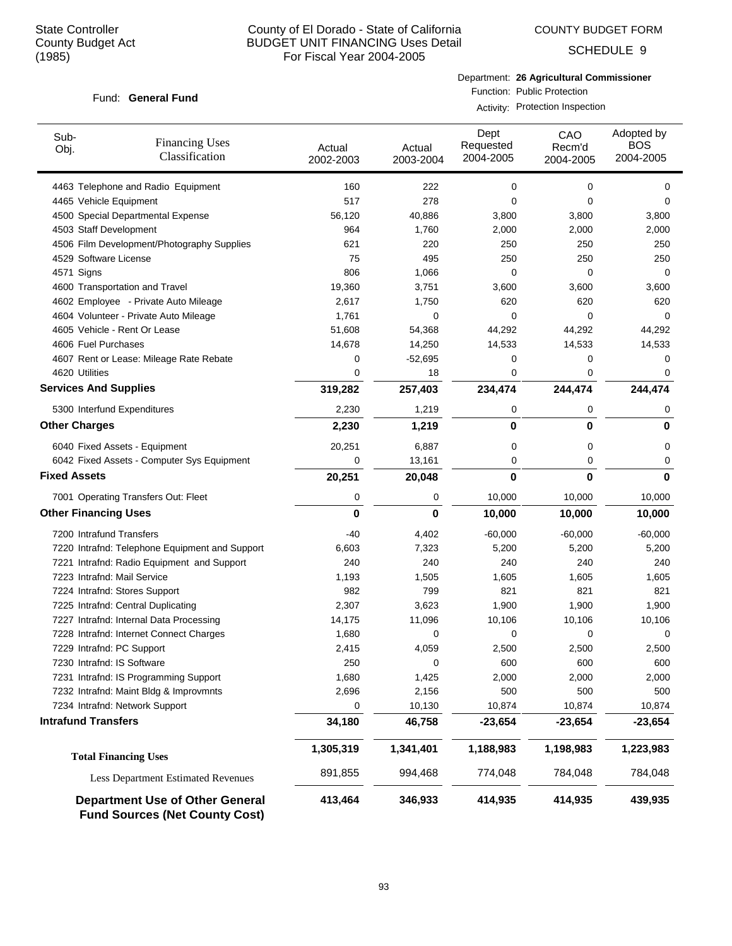COUNTY BUDGET FORM

SCHEDULE 9

#### Fund: General Fund

Department: **26 Agricultural Commissioner** Function: Public Protection

Activity: Protection Inspection

| Sub-<br>Obj.                 | <b>Financing Uses</b><br>Classification                                         | Actual<br>2002-2003 | Actual<br>2003-2004 | Dept<br>Requested<br>2004-2005 | CAO<br>Recm'd<br>2004-2005 | Adopted by<br><b>BOS</b><br>2004-2005 |
|------------------------------|---------------------------------------------------------------------------------|---------------------|---------------------|--------------------------------|----------------------------|---------------------------------------|
|                              | 4463 Telephone and Radio Equipment                                              | 160                 | 222                 | 0                              | 0                          | 0                                     |
| 4465 Vehicle Equipment       |                                                                                 | 517                 | 278                 | 0                              | 0                          | $\Omega$                              |
|                              | 4500 Special Departmental Expense                                               | 56,120              | 40,886              | 3,800                          | 3,800                      | 3,800                                 |
| 4503 Staff Development       |                                                                                 | 964                 | 1,760               | 2,000                          | 2,000                      | 2,000                                 |
|                              | 4506 Film Development/Photography Supplies                                      | 621                 | 220                 | 250                            | 250                        | 250                                   |
| 4529 Software License        |                                                                                 | 75                  | 495                 | 250                            | 250                        | 250                                   |
| 4571 Signs                   |                                                                                 | 806                 | 1,066               | 0                              | 0                          | 0                                     |
|                              | 4600 Transportation and Travel                                                  | 19,360              | 3,751               | 3,600                          | 3,600                      | 3,600                                 |
|                              | 4602 Employee - Private Auto Mileage                                            | 2,617               | 1,750               | 620                            | 620                        | 620                                   |
|                              | 4604 Volunteer - Private Auto Mileage                                           | 1,761               | 0                   | 0                              | $\Omega$                   | 0                                     |
|                              | 4605 Vehicle - Rent Or Lease                                                    | 51,608              | 54,368              | 44,292                         | 44,292                     | 44,292                                |
| 4606 Fuel Purchases          |                                                                                 | 14,678              | 14,250              | 14,533                         | 14,533                     | 14,533                                |
|                              | 4607 Rent or Lease: Mileage Rate Rebate                                         | 0                   | $-52,695$           | 0                              | 0                          | 0                                     |
| 4620 Utilities               |                                                                                 | 0                   | 18                  | 0                              | 0                          | 0                                     |
| <b>Services And Supplies</b> |                                                                                 | 319,282             | 257,403             | 234,474                        | 244,474                    | 244,474                               |
|                              | 5300 Interfund Expenditures                                                     | 2,230               | 1,219               | 0                              | 0                          | 0                                     |
| <b>Other Charges</b>         |                                                                                 | 2,230               | 1,219               | $\mathbf 0$                    | $\bf{0}$                   | 0                                     |
|                              | 6040 Fixed Assets - Equipment                                                   | 20,251              | 6,887               | 0                              | 0                          | 0                                     |
|                              | 6042 Fixed Assets - Computer Sys Equipment                                      | 0                   | 13,161              | 0                              | 0                          | 0                                     |
| <b>Fixed Assets</b>          |                                                                                 | 20,251              | 20,048              | $\bf{0}$                       | $\bf{0}$                   | 0                                     |
|                              | 7001 Operating Transfers Out: Fleet                                             | 0                   | 0                   | 10,000                         | 10,000                     | 10,000                                |
| <b>Other Financing Uses</b>  |                                                                                 | 0                   | $\bf{0}$            | 10,000                         | 10,000                     | 10,000                                |
| 7200 Intrafund Transfers     |                                                                                 | -40                 | 4,402               | $-60,000$                      | $-60,000$                  | $-60,000$                             |
|                              | 7220 Intrafnd: Telephone Equipment and Support                                  | 6,603               | 7,323               | 5,200                          | 5,200                      | 5,200                                 |
|                              | 7221 Intrafnd: Radio Equipment and Support                                      | 240                 | 240                 | 240                            | 240                        | 240                                   |
| 7223 Intrafnd: Mail Service  |                                                                                 | 1,193               | 1,505               | 1,605                          | 1,605                      | 1,605                                 |
|                              | 7224 Intrafnd: Stores Support                                                   | 982                 | 799                 | 821                            | 821                        | 821                                   |
|                              | 7225 Intrafnd: Central Duplicating                                              | 2,307               | 3,623               | 1,900                          | 1,900                      | 1,900                                 |
|                              | 7227 Intrafnd: Internal Data Processing                                         | 14,175              | 11,096              | 10,106                         | 10,106                     | 10,106                                |
|                              | 7228 Intrafnd: Internet Connect Charges                                         | 1,680               | 0                   | 0                              | 0                          | 0                                     |
| 7229 Intrafnd: PC Support    |                                                                                 | 2,415               | 4,059               | 2,500                          | 2,500                      | 2,500                                 |
| 7230 Intrafnd: IS Software   |                                                                                 | 250                 | 0                   | 600                            | 600                        | 600                                   |
|                              | 7231 Intrafnd: IS Programming Support                                           | 1,680               | 1,425               | 2,000                          | 2,000                      | 2,000                                 |
|                              | 7232 Intrafnd: Maint Bldg & Improvmnts                                          | 2,696               | 2,156               | 500                            | 500                        | 500                                   |
|                              | 7234 Intrafnd: Network Support                                                  | 0                   | 10,130              | 10,874                         | 10,874                     | 10,874                                |
| <b>Intrafund Transfers</b>   |                                                                                 | 34,180              | 46,758              | $-23,654$                      | $-23,654$                  | $-23,654$                             |
|                              | <b>Total Financing Uses</b>                                                     | 1,305,319           | 1,341,401           | 1,188,983                      | 1,198,983                  | 1,223,983                             |
|                              | <b>Less Department Estimated Revenues</b>                                       | 891,855             | 994,468             | 774,048                        | 784,048                    | 784,048                               |
|                              | <b>Department Use of Other General</b><br><b>Fund Sources (Net County Cost)</b> | 413,464             | 346,933             | 414,935                        | 414,935                    | 439,935                               |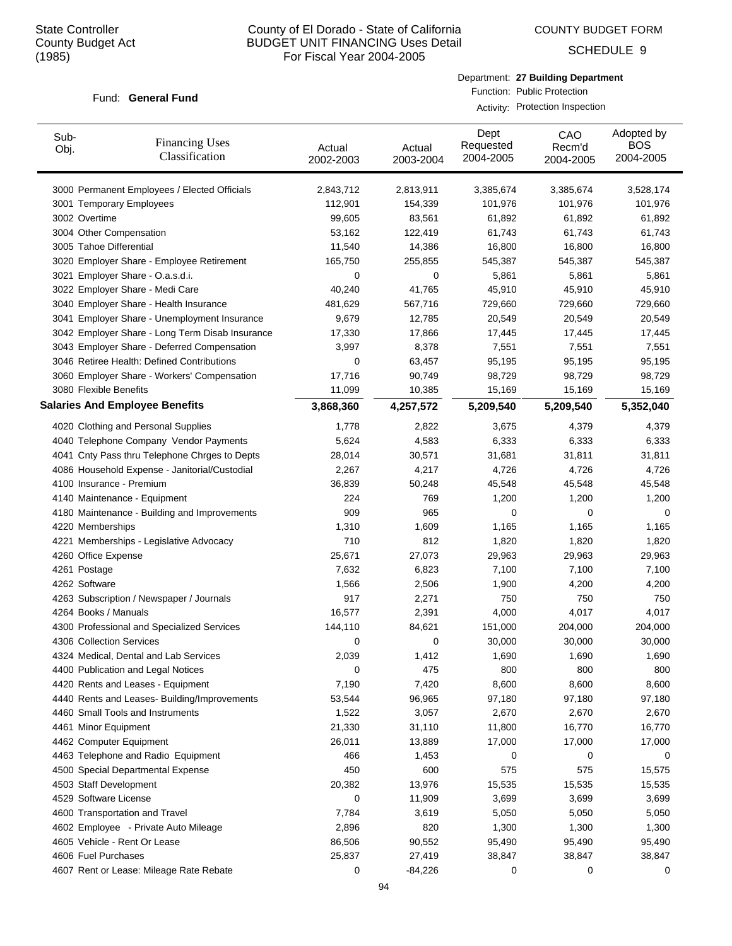COUNTY BUDGET FORM

SCHEDULE 9

#### Fund: General Fund

Department: **27 Building Department** Function: Public Protection

Activity: Protection Inspection

| Sub-<br>Obj. | <b>Financing Uses</b><br>Classification         | Actual<br>2002-2003 | Actual<br>2003-2004 | Dept<br>Requested<br>2004-2005 | CAO<br>Recm'd<br>2004-2005 | Adopted by<br><b>BOS</b><br>2004-2005 |
|--------------|-------------------------------------------------|---------------------|---------------------|--------------------------------|----------------------------|---------------------------------------|
|              | 3000 Permanent Employees / Elected Officials    | 2,843,712           | 2,813,911           | 3,385,674                      | 3,385,674                  | 3,528,174                             |
|              | 3001 Temporary Employees                        | 112,901             | 154,339             | 101,976                        | 101,976                    | 101,976                               |
|              | 3002 Overtime                                   | 99,605              | 83,561              | 61,892                         | 61,892                     | 61,892                                |
|              | 3004 Other Compensation                         | 53,162              | 122,419             | 61,743                         | 61,743                     | 61,743                                |
|              | 3005 Tahoe Differential                         | 11,540              | 14,386              | 16,800                         | 16,800                     | 16,800                                |
|              | 3020 Employer Share - Employee Retirement       | 165,750             | 255,855             | 545,387                        | 545,387                    | 545,387                               |
|              | 3021 Employer Share - O.a.s.d.i.                | 0                   | 0                   | 5,861                          | 5,861                      | 5,861                                 |
|              | 3022 Employer Share - Medi Care                 | 40,240              | 41,765              | 45,910                         | 45,910                     | 45,910                                |
|              | 3040 Employer Share - Health Insurance          | 481,629             | 567,716             | 729,660                        | 729,660                    | 729,660                               |
|              | 3041 Employer Share - Unemployment Insurance    | 9,679               | 12,785              | 20,549                         | 20,549                     | 20,549                                |
|              | 3042 Employer Share - Long Term Disab Insurance | 17,330              | 17,866              | 17,445                         | 17,445                     | 17,445                                |
|              | 3043 Employer Share - Deferred Compensation     | 3,997               | 8,378               | 7,551                          | 7,551                      | 7,551                                 |
|              | 3046 Retiree Health: Defined Contributions      | 0                   | 63,457              | 95,195                         | 95,195                     | 95,195                                |
|              | 3060 Employer Share - Workers' Compensation     | 17,716              | 90,749              | 98,729                         | 98,729                     | 98,729                                |
|              | 3080 Flexible Benefits                          | 11,099              | 10,385              | 15,169                         | 15,169                     | 15,169                                |
|              | <b>Salaries And Employee Benefits</b>           | 3,868,360           | 4,257,572           | 5,209,540                      | 5,209,540                  | 5,352,040                             |
|              | 4020 Clothing and Personal Supplies             | 1,778               | 2,822               | 3,675                          | 4,379                      | 4,379                                 |
|              | 4040 Telephone Company Vendor Payments          | 5,624               | 4,583               | 6,333                          | 6,333                      | 6,333                                 |
|              | 4041 Cnty Pass thru Telephone Chrges to Depts   | 28,014              | 30,571              | 31,681                         | 31,811                     | 31,811                                |
|              | 4086 Household Expense - Janitorial/Custodial   | 2,267               | 4,217               | 4,726                          | 4,726                      | 4,726                                 |
|              | 4100 Insurance - Premium                        | 36,839              | 50,248              | 45,548                         | 45,548                     | 45,548                                |
|              | 4140 Maintenance - Equipment                    | 224                 | 769                 | 1,200                          | 1,200                      | 1,200                                 |
|              | 4180 Maintenance - Building and Improvements    | 909                 | 965                 | 0                              | 0                          | 0                                     |
|              | 4220 Memberships                                | 1,310               | 1,609               | 1,165                          | 1,165                      | 1,165                                 |
|              | 4221 Memberships - Legislative Advocacy         | 710                 | 812                 | 1,820                          | 1,820                      | 1,820                                 |
|              | 4260 Office Expense                             | 25,671              | 27,073              | 29,963                         | 29,963                     | 29,963                                |
|              | 4261 Postage                                    | 7,632               | 6,823               | 7,100                          | 7,100                      | 7,100                                 |
|              | 4262 Software                                   | 1,566               | 2,506               | 1,900                          | 4,200                      | 4,200                                 |
|              | 4263 Subscription / Newspaper / Journals        | 917                 | 2,271               | 750                            | 750                        | 750                                   |
|              | 4264 Books / Manuals                            | 16,577              | 2,391               | 4,000                          | 4,017                      | 4,017                                 |
|              | 4300 Professional and Specialized Services      | 144,110             | 84,621              | 151,000                        | 204,000                    | 204,000                               |
|              | 4306 Collection Services                        | 0                   | 0                   | 30,000                         | 30,000                     | 30,000                                |
|              | 4324 Medical, Dental and Lab Services           | 2,039               | 1,412               | 1,690                          | 1,690                      | 1,690                                 |
|              | 4400 Publication and Legal Notices              | 0                   | 475                 | 800                            | 800                        | 800                                   |
|              | 4420 Rents and Leases - Equipment               | 7,190               | 7,420               | 8,600                          | 8,600                      | 8,600                                 |
|              | 4440 Rents and Leases- Building/Improvements    | 53,544              | 96,965              | 97,180                         | 97,180                     | 97,180                                |
|              | 4460 Small Tools and Instruments                | 1,522               | 3,057               | 2,670                          | 2,670                      | 2,670                                 |
|              | 4461 Minor Equipment                            | 21,330              | 31,110              | 11,800                         | 16,770                     | 16,770                                |
|              | 4462 Computer Equipment                         | 26,011              | 13,889              | 17,000                         | 17,000                     | 17,000                                |
|              | 4463 Telephone and Radio Equipment              | 466                 | 1,453               | 0                              | 0                          | 0                                     |
|              | 4500 Special Departmental Expense               | 450                 | 600                 | 575                            | 575                        | 15,575                                |
|              | 4503 Staff Development                          | 20,382              | 13,976              | 15,535                         | 15,535                     | 15,535                                |
|              | 4529 Software License                           | 0                   | 11,909              | 3,699                          | 3,699                      | 3,699                                 |
|              | 4600 Transportation and Travel                  | 7,784               | 3,619               | 5,050                          | 5,050                      | 5,050                                 |
|              | 4602 Employee - Private Auto Mileage            | 2,896               | 820                 | 1,300                          | 1,300                      | 1,300                                 |
|              | 4605 Vehicle - Rent Or Lease                    | 86,506              | 90,552              | 95,490                         | 95,490                     | 95,490                                |
|              | 4606 Fuel Purchases                             | 25,837              | 27,419              | 38,847                         | 38,847                     | 38,847                                |
|              | 4607 Rent or Lease: Mileage Rate Rebate         | 0                   | $-84,226$           | 0                              | 0                          | 0                                     |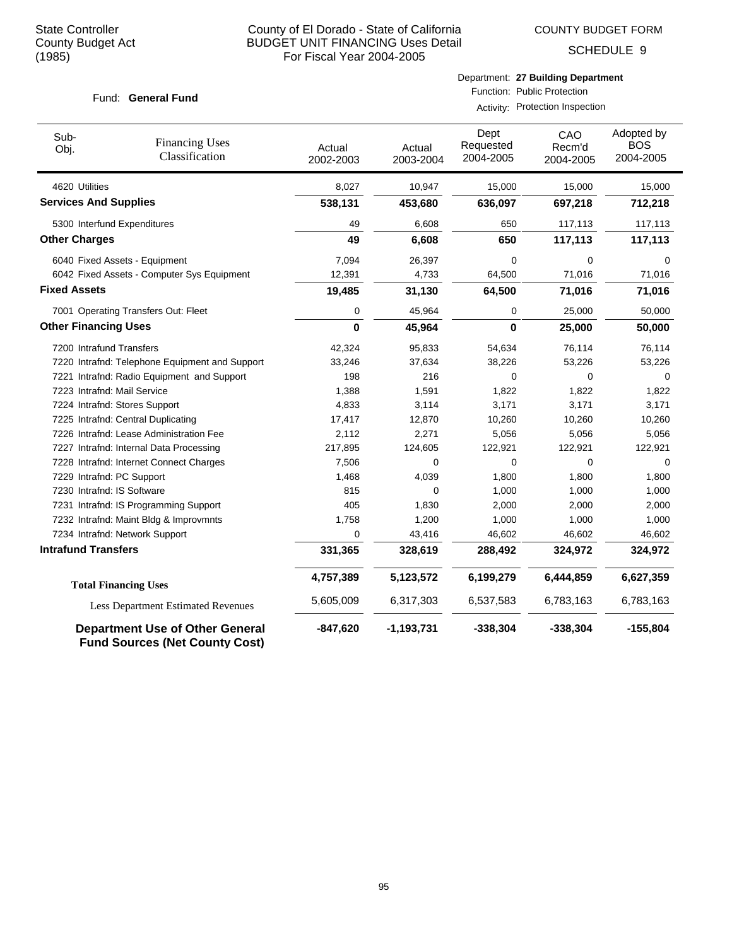SCHEDULE 9

#### Fund: General Fund

Function: Public Protection Activity: Protection Inspection

| Sub-<br>Obj.                 | <b>Financing Uses</b><br>Classification        | Actual<br>2002-2003 | Actual<br>2003-2004 | Dept<br>Requested<br>2004-2005 | CAO<br>Recm'd<br>2004-2005 | Adopted by<br><b>BOS</b><br>2004-2005 |
|------------------------------|------------------------------------------------|---------------------|---------------------|--------------------------------|----------------------------|---------------------------------------|
| 4620 Utilities               |                                                | 8,027               | 10,947              | 15,000                         | 15,000                     | 15,000                                |
| <b>Services And Supplies</b> |                                                | 538,131             | 453,680             | 636,097                        | 697,218                    | 712,218                               |
|                              | 5300 Interfund Expenditures                    | 49                  | 6,608               | 650                            | 117,113                    | 117,113                               |
| <b>Other Charges</b>         |                                                | 49                  | 6,608               | 650                            | 117,113                    | 117,113                               |
|                              | 6040 Fixed Assets - Equipment                  | 7,094               | 26,397              | 0                              | $\mathbf 0$                | $\Omega$                              |
|                              | 6042 Fixed Assets - Computer Sys Equipment     | 12,391              | 4,733               | 64,500                         | 71,016                     | 71,016                                |
| <b>Fixed Assets</b>          |                                                | 19,485              | 31,130              | 64,500                         | 71,016                     | 71,016                                |
|                              | 7001 Operating Transfers Out: Fleet            | 0                   | 45,964              | 0                              | 25,000                     | 50,000                                |
| <b>Other Financing Uses</b>  |                                                | $\mathbf{0}$        | 45,964              | $\mathbf 0$                    | 25,000                     | 50,000                                |
|                              | 7200 Intrafund Transfers                       | 42,324              | 95,833              | 54,634                         | 76,114                     | 76,114                                |
|                              | 7220 Intrafnd: Telephone Equipment and Support | 33,246              | 37,634              | 38,226                         | 53,226                     | 53,226                                |
|                              | 7221 Intrafnd: Radio Equipment and Support     | 198                 | 216                 | 0                              | 0                          | 0                                     |
|                              | 7223 Intrafnd: Mail Service                    | 1,388               | 1,591               | 1,822                          | 1,822                      | 1,822                                 |
|                              | 7224 Intrafnd: Stores Support                  | 4,833               | 3,114               | 3,171                          | 3,171                      | 3,171                                 |
|                              | 7225 Intrafnd: Central Duplicating             | 17,417              | 12,870              | 10,260                         | 10,260                     | 10,260                                |
|                              | 7226 Intrafnd: Lease Administration Fee        | 2,112               | 2,271               | 5,056                          | 5,056                      | 5,056                                 |
|                              | 7227 Intrafnd: Internal Data Processing        | 217,895             | 124,605             | 122,921                        | 122,921                    | 122,921                               |
|                              | 7228 Intrafnd: Internet Connect Charges        | 7,506               | 0                   | 0                              | $\Omega$                   | $\Omega$                              |
|                              | 7229 Intrafnd: PC Support                      | 1,468               | 4,039               | 1,800                          | 1,800                      | 1,800                                 |
|                              | 7230 Intrafnd: IS Software                     | 815                 | $\Omega$            | 1,000                          | 1,000                      | 1,000                                 |
|                              | 7231 Intrafnd: IS Programming Support          | 405                 | 1,830               | 2,000                          | 2,000                      | 2,000                                 |
|                              | 7232 Intrafnd: Maint Bldg & Improvmnts         | 1,758               | 1,200               | 1,000                          | 1,000                      | 1,000                                 |
|                              | 7234 Intrafnd: Network Support                 | 0                   | 43,416              | 46,602                         | 46,602                     | 46,602                                |
| <b>Intrafund Transfers</b>   |                                                | 331,365             | 328,619             | 288,492                        | 324,972                    | 324,972                               |
|                              | <b>Total Financing Uses</b>                    | 4,757,389           | 5,123,572           | 6,199,279                      | 6,444,859                  | 6,627,359                             |
|                              | <b>Less Department Estimated Revenues</b>      | 5,605,009           | 6,317,303           | 6,537,583                      | 6,783,163                  | 6,783,163                             |
|                              | <b>Department Use of Other General</b>         | $-847,620$          | $-1,193,731$        | $-338,304$                     | $-338,304$                 | $-155,804$                            |

**Fund Sources (Net County Cost)**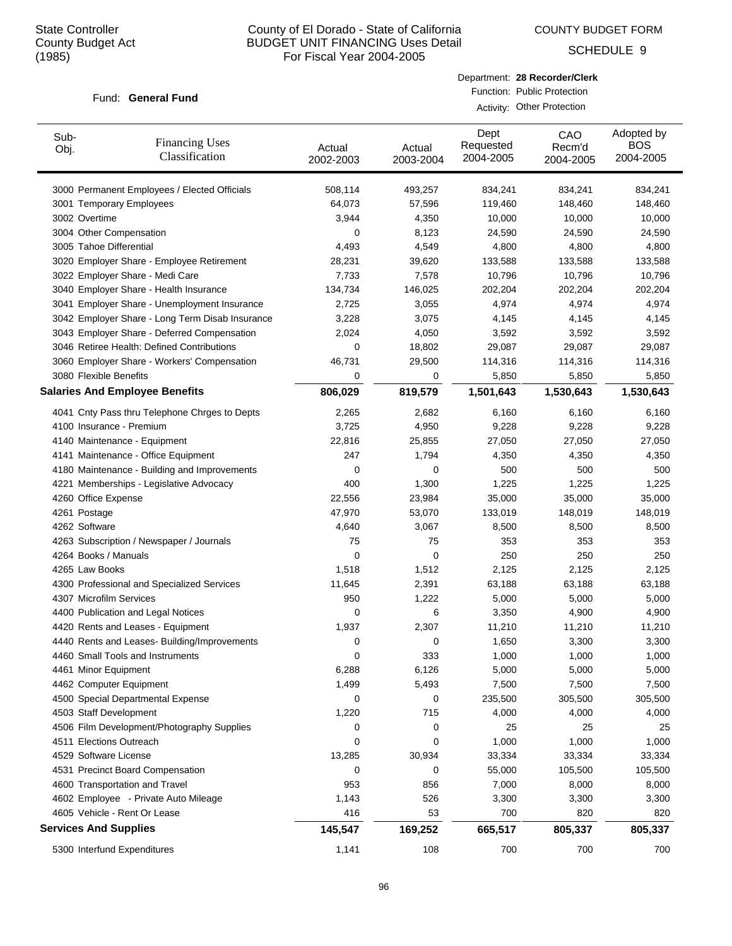COUNTY BUDGET FORM

SCHEDULE 9

#### Fund: General Fund

| Department: 28 Recorder/Clerk |
|-------------------------------|
| Function: Public Protection   |

Activity: Other Protection

| Sub-<br>Obj. | <b>Financing Uses</b><br>Classification                      | Actual<br>2002-2003 | Actual<br>2003-2004 | Dept<br>Requested<br>2004-2005 | CAO<br>Recm'd<br>2004-2005 | Adopted by<br><b>BOS</b><br>2004-2005 |
|--------------|--------------------------------------------------------------|---------------------|---------------------|--------------------------------|----------------------------|---------------------------------------|
|              | 3000 Permanent Employees / Elected Officials                 | 508,114             | 493,257             | 834,241                        | 834,241                    | 834,241                               |
|              | 3001 Temporary Employees                                     | 64,073              | 57,596              | 119,460                        | 148,460                    | 148,460                               |
|              | 3002 Overtime                                                | 3,944               | 4,350               | 10,000                         | 10,000                     | 10,000                                |
|              | 3004 Other Compensation                                      | 0                   | 8,123               | 24,590                         | 24,590                     | 24,590                                |
|              | 3005 Tahoe Differential                                      | 4,493               | 4,549               | 4,800                          | 4,800                      | 4,800                                 |
|              | 3020 Employer Share - Employee Retirement                    | 28,231              | 39,620              | 133,588                        | 133,588                    | 133,588                               |
|              | 3022 Employer Share - Medi Care                              | 7,733               | 7,578               | 10,796                         | 10,796                     | 10,796                                |
|              | 3040 Employer Share - Health Insurance                       | 134,734             | 146,025             | 202,204                        | 202,204                    | 202,204                               |
|              | 3041 Employer Share - Unemployment Insurance                 | 2,725               | 3,055               | 4,974                          | 4,974                      | 4,974                                 |
|              | 3042 Employer Share - Long Term Disab Insurance              | 3,228               | 3,075               | 4,145                          | 4,145                      | 4,145                                 |
|              | 3043 Employer Share - Deferred Compensation                  | 2,024               | 4,050               | 3,592                          | 3,592                      | 3,592                                 |
|              | 3046 Retiree Health: Defined Contributions                   | 0                   | 18,802              | 29,087                         | 29,087                     | 29,087                                |
|              | 3060 Employer Share - Workers' Compensation                  | 46,731              | 29,500              | 114,316                        | 114,316                    | 114,316                               |
|              | 3080 Flexible Benefits                                       | 0                   | 0                   | 5,850                          | 5,850                      | 5,850                                 |
|              | <b>Salaries And Employee Benefits</b>                        | 806,029             | 819,579             | 1,501,643                      | 1,530,643                  | 1,530,643                             |
|              | 4041 Cnty Pass thru Telephone Chrges to Depts                | 2,265               | 2,682               | 6,160                          | 6,160                      | 6,160                                 |
|              | 4100 Insurance - Premium                                     | 3,725               | 4,950               | 9,228                          | 9,228                      | 9,228                                 |
|              | 4140 Maintenance - Equipment                                 | 22,816              | 25,855              | 27,050                         | 27,050                     | 27,050                                |
|              | 4141 Maintenance - Office Equipment                          | 247                 | 1,794               | 4,350                          | 4,350                      | 4,350                                 |
|              | 4180 Maintenance - Building and Improvements                 | 0                   | 0                   | 500                            | 500                        | 500                                   |
|              | 4221 Memberships - Legislative Advocacy                      | 400                 | 1,300               | 1,225                          | 1,225                      | 1,225                                 |
|              | 4260 Office Expense                                          | 22,556              | 23,984              | 35,000                         | 35,000                     | 35,000                                |
|              | 4261 Postage                                                 | 47,970              | 53,070              | 133,019                        | 148,019                    | 148,019                               |
|              | 4262 Software                                                | 4,640               | 3,067               | 8,500                          | 8,500                      | 8,500                                 |
|              | 4263 Subscription / Newspaper / Journals                     | 75                  | 75                  | 353                            | 353                        | 353                                   |
|              | 4264 Books / Manuals                                         | 0                   | 0                   | 250                            | 250                        | 250                                   |
|              | 4265 Law Books                                               | 1,518               | 1,512               | 2,125                          | 2,125                      | 2,125                                 |
|              | 4300 Professional and Specialized Services                   | 11,645              | 2,391               | 63,188                         | 63,188                     | 63,188                                |
|              | 4307 Microfilm Services                                      | 950                 | 1,222               | 5,000                          | 5,000                      | 5,000                                 |
|              | 4400 Publication and Legal Notices                           | 0                   | 6                   | 3,350                          | 4,900                      | 4,900                                 |
|              | 4420 Rents and Leases - Equipment                            | 1,937               | 2,307               | 11,210                         | 11,210                     | 11,210                                |
|              | 4440 Rents and Leases- Building/Improvements                 | 0                   | 0                   | 1,650                          | 3,300                      | 3,300                                 |
|              | 4460 Small Tools and Instruments                             | 0                   | 333                 | 1,000                          | 1,000                      | 1,000                                 |
|              | 4461 Minor Equipment                                         | 6,288               | 6,126               | 5,000                          | 5,000                      | 5,000                                 |
|              | 4462 Computer Equipment                                      | 1,499               | 5,493               | 7,500                          | 7,500                      | 7,500                                 |
|              | 4500 Special Departmental Expense                            | 0                   | 0                   | 235,500                        | 305,500                    | 305,500                               |
|              | 4503 Staff Development                                       | 1,220               | 715                 | 4,000                          | 4,000                      | 4,000                                 |
|              | 4506 Film Development/Photography Supplies                   | 0                   | 0                   | 25                             | 25                         | 25                                    |
|              | 4511 Elections Outreach                                      | 0                   | 0                   | 1,000                          | 1,000                      | 1,000                                 |
|              | 4529 Software License                                        | 13,285              | 30,934              | 33,334                         | 33,334                     | 33,334                                |
|              | 4531 Precinct Board Compensation                             | 0                   | 0                   | 55,000                         | 105,500                    | 105,500                               |
|              | 4600 Transportation and Travel                               | 953                 | 856                 | 7,000                          | 8,000                      | 8,000                                 |
|              | 4602 Employee - Private Auto Mileage                         | 1,143               | 526                 | 3,300                          | 3,300                      | 3,300                                 |
|              | 4605 Vehicle - Rent Or Lease<br><b>Services And Supplies</b> | 416<br>145,547      | 53                  | 700                            | 820                        | 820                                   |
|              |                                                              |                     | 169,252             | 665,517                        | 805,337                    | 805,337                               |
|              | 5300 Interfund Expenditures                                  | 1,141               | 108                 | 700                            | 700                        | 700                                   |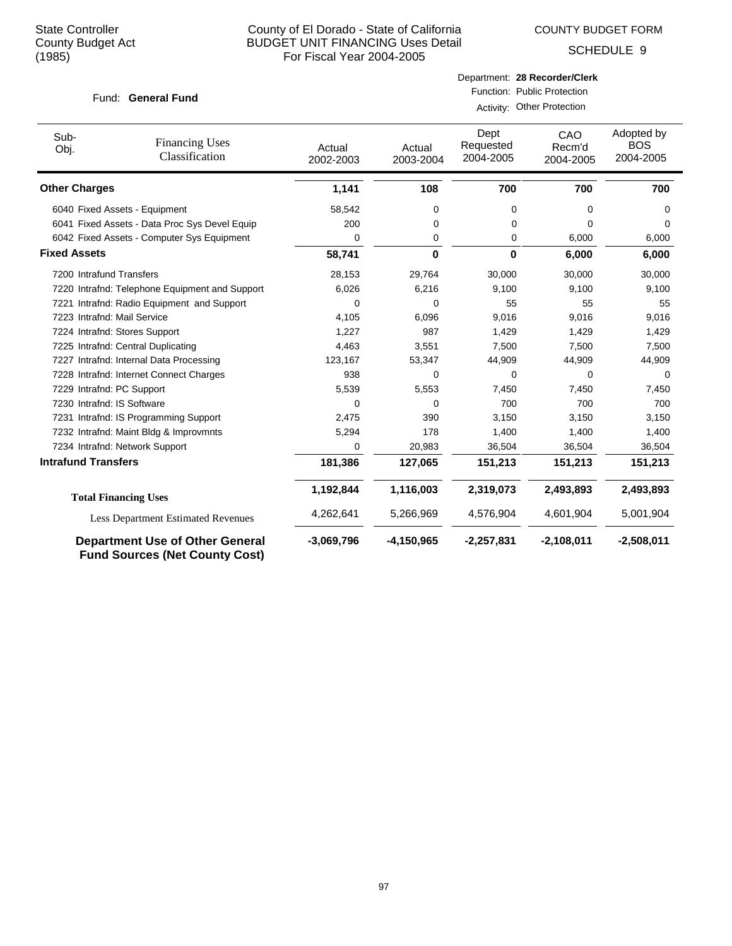COUNTY BUDGET FORM

SCHEDULE 9

|  | Fund: General Fund |  |
|--|--------------------|--|
|--|--------------------|--|

Activity: Other Protection

| Sub-<br>Obj.               | <b>Financing Uses</b><br>Classification                                         | Actual<br>2002-2003 | Actual<br>2003-2004 | Dept<br>Requested<br>2004-2005 | CAO<br>Recm'd<br>2004-2005 | Adopted by<br><b>BOS</b><br>2004-2005 |
|----------------------------|---------------------------------------------------------------------------------|---------------------|---------------------|--------------------------------|----------------------------|---------------------------------------|
| <b>Other Charges</b>       |                                                                                 | 1,141               | 108                 | 700                            | 700                        | 700                                   |
|                            | 6040 Fixed Assets - Equipment                                                   | 58,542              | 0                   | 0                              | $\Omega$                   | 0                                     |
|                            | 6041 Fixed Assets - Data Proc Sys Devel Equip                                   | 200                 | 0                   | 0                              | 0                          | 0                                     |
|                            | 6042 Fixed Assets - Computer Sys Equipment                                      | 0                   | 0                   | 0                              | 6,000                      | 6,000                                 |
| <b>Fixed Assets</b>        |                                                                                 | 58,741              | 0                   | 0                              | 6,000                      | 6,000                                 |
|                            | 7200 Intrafund Transfers                                                        | 28,153              | 29,764              | 30,000                         | 30,000                     | 30,000                                |
|                            | 7220 Intrafnd: Telephone Equipment and Support                                  | 6,026               | 6,216               | 9,100                          | 9,100                      | 9,100                                 |
|                            | 7221 Intrafnd: Radio Equipment and Support                                      | 0                   | 0                   | 55                             | 55                         | 55                                    |
|                            | 7223 Intrafnd: Mail Service                                                     | 4,105               | 6,096               | 9,016                          | 9,016                      | 9,016                                 |
|                            | 7224 Intrafnd: Stores Support                                                   | 1,227               | 987                 | 1,429                          | 1,429                      | 1,429                                 |
|                            | 7225 Intrafnd: Central Duplicating                                              | 4,463               | 3,551               | 7,500                          | 7,500                      | 7,500                                 |
|                            | 7227 Intrafnd: Internal Data Processing                                         | 123,167             | 53,347              | 44,909                         | 44,909                     | 44,909                                |
|                            | 7228 Intrafnd: Internet Connect Charges                                         | 938                 | 0                   | 0                              | $\Omega$                   | 0                                     |
|                            | 7229 Intrafnd: PC Support                                                       | 5,539               | 5,553               | 7,450                          | 7,450                      | 7,450                                 |
|                            | 7230 Intrafnd: IS Software                                                      | 0                   | 0                   | 700                            | 700                        | 700                                   |
|                            | 7231 Intrafnd: IS Programming Support                                           | 2,475               | 390                 | 3,150                          | 3,150                      | 3,150                                 |
|                            | 7232 Intrafnd: Maint Bldg & Improvmnts                                          | 5,294               | 178                 | 1,400                          | 1,400                      | 1,400                                 |
|                            | 7234 Intrafnd: Network Support                                                  | 0                   | 20,983              | 36,504                         | 36,504                     | 36,504                                |
| <b>Intrafund Transfers</b> |                                                                                 | 181,386             | 127,065             | 151,213                        | 151,213                    | 151,213                               |
|                            | <b>Total Financing Uses</b>                                                     | 1,192,844           | 1,116,003           | 2,319,073                      | 2,493,893                  | 2,493,893                             |
|                            | <b>Less Department Estimated Revenues</b>                                       | 4,262,641           | 5,266,969           | 4,576,904                      | 4,601,904                  | 5,001,904                             |
|                            | <b>Department Use of Other General</b><br><b>Fund Sources (Net County Cost)</b> | $-3,069,796$        | $-4, 150, 965$      | $-2,257,831$                   | $-2,108,011$               | $-2,508,011$                          |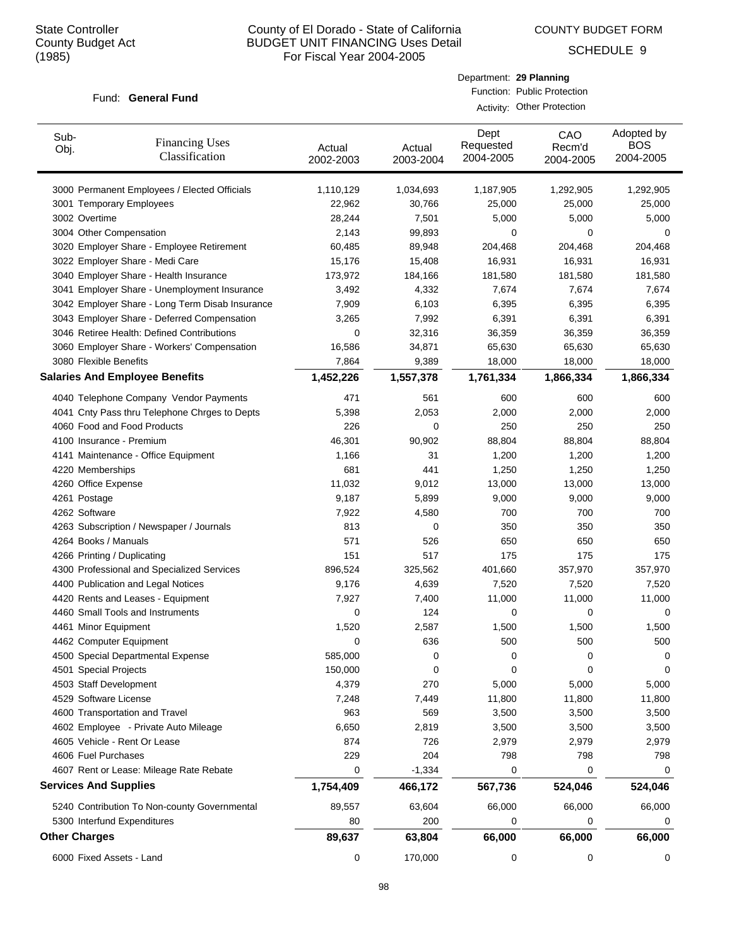COUNTY BUDGET FORM

Department: **29 Planning** Function: Public Protection Activity: Other Protection

SCHEDULE 9

### Fund: General Fund

| Sub-<br>Obj. | <b>Financing Uses</b><br>Classification                                 | Actual<br>2002-2003 | Actual<br>2003-2004 | Dept<br>Requested<br>2004-2005 | CAO<br>Recm'd<br>2004-2005 | Adopted by<br><b>BOS</b><br>2004-2005 |
|--------------|-------------------------------------------------------------------------|---------------------|---------------------|--------------------------------|----------------------------|---------------------------------------|
|              | 3000 Permanent Employees / Elected Officials                            | 1,110,129           | 1,034,693           | 1,187,905                      | 1,292,905                  | 1,292,905                             |
|              | 3001 Temporary Employees                                                | 22,962              | 30,766              | 25,000                         | 25,000                     | 25,000                                |
|              | 3002 Overtime                                                           | 28,244              | 7,501               | 5,000                          | 5,000                      | 5,000                                 |
|              | 3004 Other Compensation                                                 | 2,143               | 99,893              | 0                              | 0                          | 0                                     |
|              | 3020 Employer Share - Employee Retirement                               | 60,485              | 89,948              | 204,468                        | 204,468                    | 204,468                               |
|              | 3022 Employer Share - Medi Care                                         | 15,176              | 15,408              | 16,931                         | 16,931                     | 16,931                                |
|              | 3040 Employer Share - Health Insurance                                  | 173,972             | 184,166             | 181,580                        | 181,580                    | 181,580                               |
|              | 3041 Employer Share - Unemployment Insurance                            | 3,492               | 4,332               | 7,674                          | 7,674                      | 7,674                                 |
|              | 3042 Employer Share - Long Term Disab Insurance                         | 7,909               | 6,103               | 6,395                          | 6,395                      | 6,395                                 |
|              | 3043 Employer Share - Deferred Compensation                             | 3,265               | 7,992               | 6,391                          | 6,391                      | 6,391                                 |
|              | 3046 Retiree Health: Defined Contributions                              | 0                   | 32,316              | 36,359                         | 36,359                     | 36,359                                |
|              | 3060 Employer Share - Workers' Compensation                             | 16,586              | 34,871              | 65,630                         | 65,630                     | 65,630                                |
|              | 3080 Flexible Benefits                                                  | 7,864               | 9,389               | 18,000                         | 18,000                     | 18,000                                |
|              | <b>Salaries And Employee Benefits</b>                                   | 1,452,226           | 1,557,378           | 1,761,334                      | 1,866,334                  | 1,866,334                             |
|              | 4040 Telephone Company Vendor Payments                                  | 471                 | 561                 | 600                            | 600                        | 600                                   |
|              | 4041 Cnty Pass thru Telephone Chrges to Depts                           | 5,398               | 2,053               | 2,000                          | 2,000                      | 2,000                                 |
|              | 4060 Food and Food Products                                             | 226                 | 0                   | 250                            | 250                        | 250                                   |
|              | 4100 Insurance - Premium                                                | 46,301              | 90,902              | 88,804                         | 88,804                     | 88,804                                |
|              | 4141 Maintenance - Office Equipment                                     | 1,166               | 31                  | 1,200                          | 1,200                      | 1,200                                 |
|              | 4220 Memberships                                                        | 681                 | 441                 | 1,250                          | 1,250                      | 1,250                                 |
|              | 4260 Office Expense                                                     | 11,032              | 9,012               | 13,000                         | 13,000                     | 13,000                                |
|              | 4261 Postage                                                            | 9,187               | 5,899               | 9,000                          | 9,000                      | 9,000                                 |
|              | 4262 Software                                                           | 7,922               | 4,580               | 700                            | 700                        | 700                                   |
|              | 4263 Subscription / Newspaper / Journals                                | 813                 | 0                   | 350                            | 350                        | 350                                   |
|              | 4264 Books / Manuals                                                    | 571                 | 526                 | 650                            | 650                        | 650                                   |
|              | 4266 Printing / Duplicating                                             | 151                 | 517                 | 175                            | 175                        | 175                                   |
|              | 4300 Professional and Specialized Services                              | 896,524             | 325,562             | 401,660                        | 357,970                    | 357,970                               |
|              | 4400 Publication and Legal Notices                                      | 9,176               | 4,639               | 7,520                          | 7,520                      | 7,520                                 |
|              | 4420 Rents and Leases - Equipment                                       | 7,927               | 7,400               | 11,000                         | 11,000                     | 11,000                                |
|              | 4460 Small Tools and Instruments                                        | 0                   | 124                 | 0                              | 0                          | 0                                     |
|              | 4461 Minor Equipment                                                    | 1,520               | 2,587               | 1,500                          | 1,500                      | 1,500                                 |
|              | 4462 Computer Equipment                                                 | 0                   | 636                 | 500                            | 500                        | 500                                   |
|              | 4500 Special Departmental Expense                                       | 585,000             | 0                   | 0                              | 0                          | 0                                     |
|              | 4501 Special Projects                                                   | 150,000             | 0                   | 0                              | 0                          | 0                                     |
|              | 4503 Staff Development                                                  | 4,379               | 270                 | 5,000                          | 5,000                      | 5,000                                 |
|              | 4529 Software License                                                   | 7,248               | 7,449               | 11,800                         | 11,800                     | 11,800                                |
|              | 4600 Transportation and Travel                                          | 963                 | 569                 | 3,500                          | 3,500                      | 3,500                                 |
|              | 4602 Employee - Private Auto Mileage                                    | 6,650               | 2,819               | 3,500                          | 3,500                      | 3,500                                 |
|              | 4605 Vehicle - Rent Or Lease                                            | 874                 | 726                 | 2,979                          | 2,979                      | 2,979                                 |
|              | 4606 Fuel Purchases                                                     | 229                 | 204                 | 798                            | 798                        | 798                                   |
|              | 4607 Rent or Lease: Mileage Rate Rebate<br><b>Services And Supplies</b> | 0<br>1,754,409      | $-1,334$<br>466,172 | 0<br>567,736                   | 0<br>524,046               | 0<br>524,046                          |
|              | 5240 Contribution To Non-county Governmental                            | 89,557              | 63,604              | 66,000                         | 66,000                     | 66,000                                |
|              | 5300 Interfund Expenditures                                             | 80                  | 200                 | 0                              | 0                          | 0                                     |
|              | <b>Other Charges</b>                                                    | 89,637              | 63,804              | 66,000                         | 66,000                     | 66,000                                |
|              |                                                                         |                     |                     |                                |                            |                                       |

6000 Fixed Assets - Land 0 170,000 0 0 0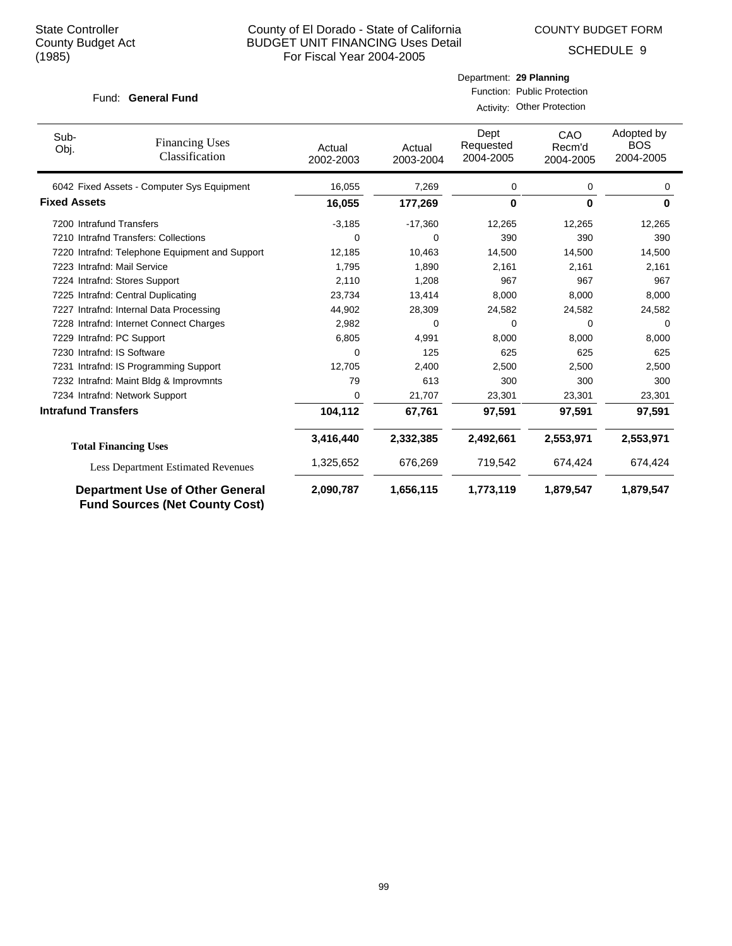COUNTY BUDGET FORM

Department: **29 Planning** Function: Public Protection Activity: Other Protection

SCHEDULE 9

| Sub-<br>Obj.               | <b>Financing Uses</b><br>Classification                                         | Actual<br>2002-2003 | Actual<br>2003-2004 | Dept<br>Requested<br>2004-2005 | CAO<br>Recm'd<br>2004-2005 | Adopted by<br><b>BOS</b><br>2004-2005 |
|----------------------------|---------------------------------------------------------------------------------|---------------------|---------------------|--------------------------------|----------------------------|---------------------------------------|
|                            | 6042 Fixed Assets - Computer Sys Equipment                                      | 16,055              | 7,269               | 0                              | 0                          | 0                                     |
| <b>Fixed Assets</b>        |                                                                                 | 16,055              | 177,269             | $\bf{0}$                       | $\bf{0}$                   | 0                                     |
| 7200 Intrafund Transfers   |                                                                                 | $-3,185$            | $-17,360$           | 12,265                         | 12,265                     | 12,265                                |
|                            | 7210 Intrafnd Transfers: Collections                                            | 0                   | 0                   | 390                            | 390                        | 390                                   |
|                            | 7220 Intrafnd: Telephone Equipment and Support                                  | 12,185              | 10,463              | 14,500                         | 14,500                     | 14,500                                |
|                            | 7223 Intrafnd: Mail Service                                                     | 1,795               | 1,890               | 2,161                          | 2,161                      | 2,161                                 |
|                            | 7224 Intrafnd: Stores Support                                                   | 2,110               | 1,208               | 967                            | 967                        | 967                                   |
|                            | 7225 Intrafnd: Central Duplicating                                              | 23,734              | 13,414              | 8.000                          | 8,000                      | 8,000                                 |
|                            | 7227 Intrafnd: Internal Data Processing                                         | 44,902              | 28,309              | 24,582                         | 24,582                     | 24,582                                |
|                            | 7228 Intrafnd: Internet Connect Charges                                         | 2,982               | 0                   | 0                              | 0                          | 0                                     |
|                            | 7229 Intrafnd: PC Support                                                       | 6,805               | 4,991               | 8,000                          | 8,000                      | 8,000                                 |
|                            | 7230 Intrafnd: IS Software                                                      | 0                   | 125                 | 625                            | 625                        | 625                                   |
|                            | 7231 Intrafnd: IS Programming Support                                           | 12,705              | 2,400               | 2,500                          | 2,500                      | 2,500                                 |
|                            | 7232 Intrafnd: Maint Bldg & Improvmnts                                          | 79                  | 613                 | 300                            | 300                        | 300                                   |
|                            | 7234 Intrafnd: Network Support                                                  | 0                   | 21,707              | 23,301                         | 23,301                     | 23,301                                |
| <b>Intrafund Transfers</b> |                                                                                 | 104,112             | 67,761              | 97,591                         | 97,591                     | 97,591                                |
|                            | <b>Total Financing Uses</b>                                                     | 3,416,440           | 2,332,385           | 2,492,661                      | 2,553,971                  | 2,553,971                             |
|                            | <b>Less Department Estimated Revenues</b>                                       | 1,325,652           | 676,269             | 719,542                        | 674,424                    | 674,424                               |
|                            | <b>Department Use of Other General</b><br><b>Fund Sources (Net County Cost)</b> | 2,090,787           | 1,656,115           | 1,773,119                      | 1,879,547                  | 1,879,547                             |